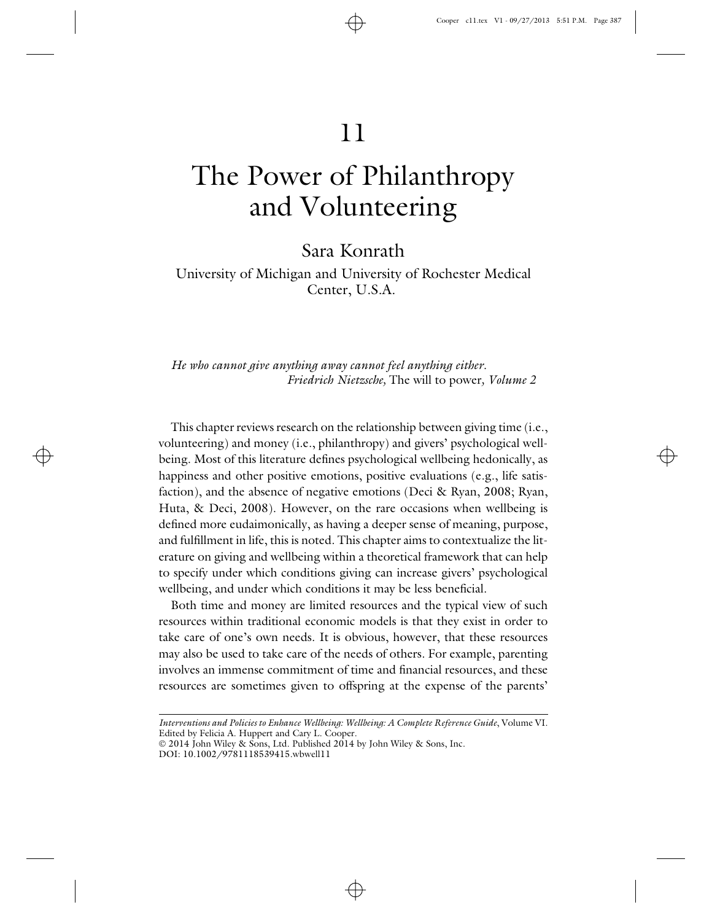# 11

# The Power of Philanthropy and Volunteering

Sara Konrath

University of Michigan and University of Rochester Medical Center, U.S.A.

*He who cannot give anything away cannot feel anything either. Friedrich Nietzsche,* The will to power*, Volume 2*

This chapter reviews research on the relationship between giving time (i.e., volunteering) and money (i.e., philanthropy) and givers' psychological wellbeing. Most of this literature defines psychological wellbeing hedonically, as happiness and other positive emotions, positive evaluations (e.g., life satisfaction), and the absence of negative emotions (Deci & Ryan, 2008; Ryan, Huta, & Deci, 2008). However, on the rare occasions when wellbeing is defined more eudaimonically, as having a deeper sense of meaning, purpose, and fulfillment in life, this is noted. This chapter aims to contextualize the literature on giving and wellbeing within a theoretical framework that can help to specify under which conditions giving can increase givers' psychological wellbeing, and under which conditions it may be less beneficial.

Both time and money are limited resources and the typical view of such resources within traditional economic models is that they exist in order to take care of one's own needs. It is obvious, however, that these resources may also be used to take care of the needs of others. For example, parenting involves an immense commitment of time and financial resources, and these resources are sometimes given to offspring at the expense of the parents'

*Interventions and Policies to Enhance Wellbeing: Wellbeing: A Complete Reference Guide*, Volume VI. Edited by Felicia A. Huppert and Cary L. Cooper.

© 2014 John Wiley & Sons, Ltd. Published 2014 by John Wiley & Sons, Inc.

DOI: 10.1002/9781118539415.wbwell11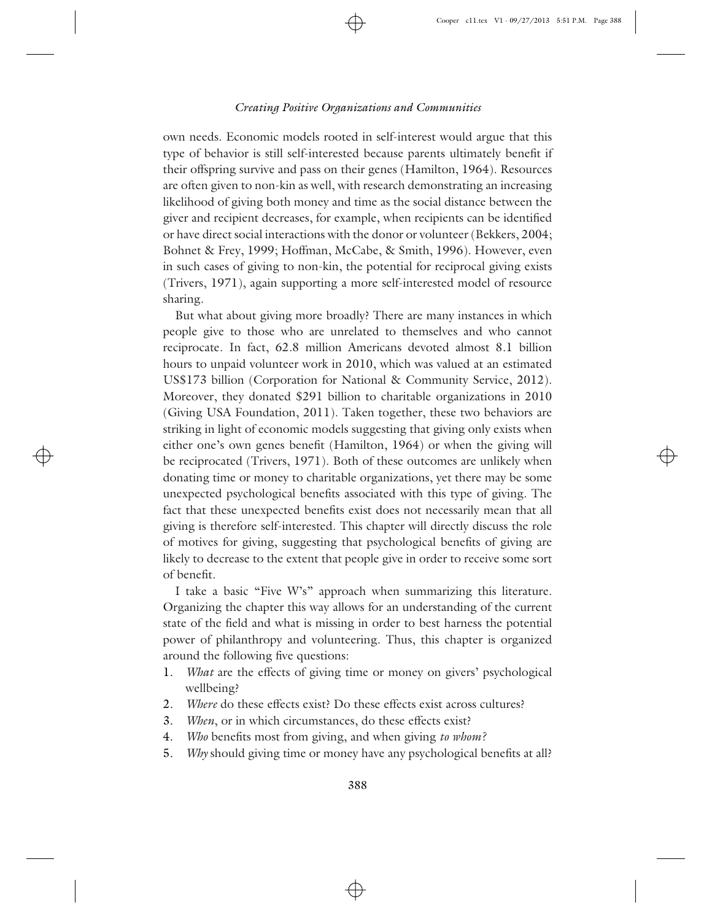own needs. Economic models rooted in self-interest would argue that this type of behavior is still self-interested because parents ultimately benefit if their offspring survive and pass on their genes (Hamilton, 1964). Resources are often given to non-kin as well, with research demonstrating an increasing likelihood of giving both money and time as the social distance between the giver and recipient decreases, for example, when recipients can be identified or have direct social interactions with the donor or volunteer (Bekkers, 2004; Bohnet & Frey, 1999; Hoffman, McCabe, & Smith, 1996). However, even in such cases of giving to non-kin, the potential for reciprocal giving exists (Trivers, 1971), again supporting a more self-interested model of resource sharing.

But what about giving more broadly? There are many instances in which people give to those who are unrelated to themselves and who cannot reciprocate. In fact, 62.8 million Americans devoted almost 8.1 billion hours to unpaid volunteer work in 2010, which was valued at an estimated US\$173 billion (Corporation for National & Community Service, 2012). Moreover, they donated \$291 billion to charitable organizations in 2010 (Giving USA Foundation, 2011). Taken together, these two behaviors are striking in light of economic models suggesting that giving only exists when either one's own genes benefit (Hamilton, 1964) or when the giving will be reciprocated (Trivers, 1971). Both of these outcomes are unlikely when donating time or money to charitable organizations, yet there may be some unexpected psychological benefits associated with this type of giving. The fact that these unexpected benefits exist does not necessarily mean that all giving is therefore self-interested. This chapter will directly discuss the role of motives for giving, suggesting that psychological benefits of giving are likely to decrease to the extent that people give in order to receive some sort of benefit.

I take a basic "Five W's" approach when summarizing this literature. Organizing the chapter this way allows for an understanding of the current state of the field and what is missing in order to best harness the potential power of philanthropy and volunteering. Thus, this chapter is organized around the following five questions:

- 1. *What* are the effects of giving time or money on givers' psychological wellbeing?
- 2. *Where* do these effects exist? Do these effects exist across cultures?
- 3. *When*, or in which circumstances, do these effects exist?
- 4. *Who* benefits most from giving, and when giving *to whom?*
- 5. *Why* should giving time or money have any psychological benefits at all?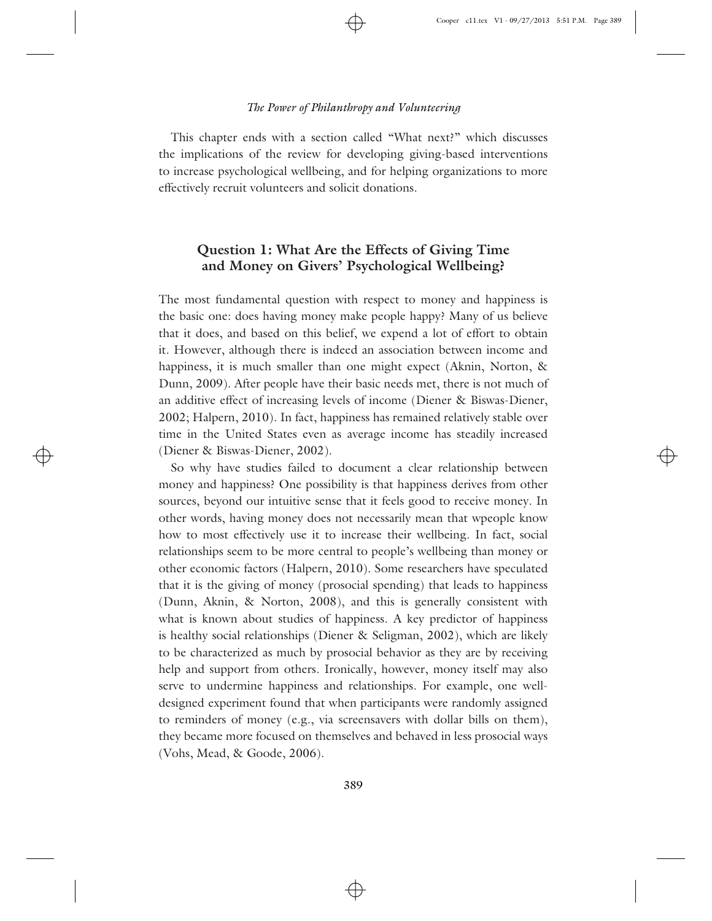This chapter ends with a section called "What next?" which discusses the implications of the review for developing giving-based interventions to increase psychological wellbeing, and for helping organizations to more effectively recruit volunteers and solicit donations.

# **Question 1: What Are the Effects of Giving Time and Money on Givers' Psychological Wellbeing?**

The most fundamental question with respect to money and happiness is the basic one: does having money make people happy? Many of us believe that it does, and based on this belief, we expend a lot of effort to obtain it. However, although there is indeed an association between income and happiness, it is much smaller than one might expect (Aknin, Norton, & Dunn, 2009). After people have their basic needs met, there is not much of an additive effect of increasing levels of income (Diener & Biswas-Diener, 2002; Halpern, 2010). In fact, happiness has remained relatively stable over time in the United States even as average income has steadily increased (Diener & Biswas-Diener, 2002).

So why have studies failed to document a clear relationship between money and happiness? One possibility is that happiness derives from other sources, beyond our intuitive sense that it feels good to receive money. In other words, having money does not necessarily mean that wpeople know how to most effectively use it to increase their wellbeing. In fact, social relationships seem to be more central to people's wellbeing than money or other economic factors (Halpern, 2010). Some researchers have speculated that it is the giving of money (prosocial spending) that leads to happiness (Dunn, Aknin, & Norton, 2008), and this is generally consistent with what is known about studies of happiness. A key predictor of happiness is healthy social relationships (Diener & Seligman, 2002), which are likely to be characterized as much by prosocial behavior as they are by receiving help and support from others. Ironically, however, money itself may also serve to undermine happiness and relationships. For example, one welldesigned experiment found that when participants were randomly assigned to reminders of money (e.g., via screensavers with dollar bills on them), they became more focused on themselves and behaved in less prosocial ways (Vohs, Mead, & Goode, 2006).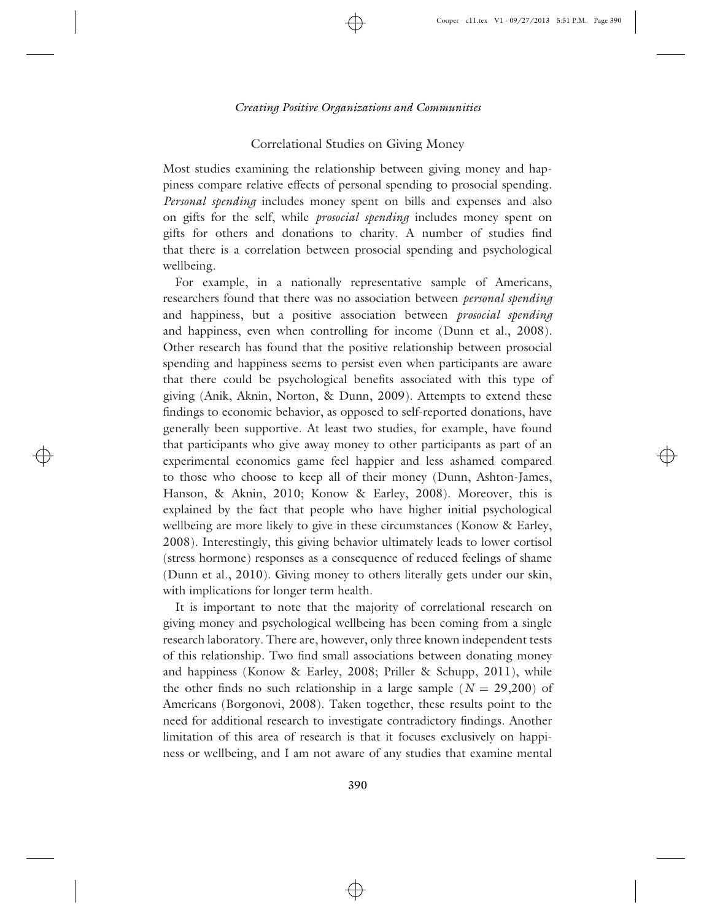#### Correlational Studies on Giving Money

Most studies examining the relationship between giving money and happiness compare relative effects of personal spending to prosocial spending. *Personal spending* includes money spent on bills and expenses and also on gifts for the self, while *prosocial spending* includes money spent on gifts for others and donations to charity. A number of studies find that there is a correlation between prosocial spending and psychological wellbeing.

For example, in a nationally representative sample of Americans, researchers found that there was no association between *personal spending* and happiness, but a positive association between *prosocial spending* and happiness, even when controlling for income (Dunn et al., 2008). Other research has found that the positive relationship between prosocial spending and happiness seems to persist even when participants are aware that there could be psychological benefits associated with this type of giving (Anik, Aknin, Norton, & Dunn, 2009). Attempts to extend these findings to economic behavior, as opposed to self-reported donations, have generally been supportive. At least two studies, for example, have found that participants who give away money to other participants as part of an experimental economics game feel happier and less ashamed compared to those who choose to keep all of their money (Dunn, Ashton-James, Hanson, & Aknin, 2010; Konow & Earley, 2008). Moreover, this is explained by the fact that people who have higher initial psychological wellbeing are more likely to give in these circumstances (Konow & Earley, 2008). Interestingly, this giving behavior ultimately leads to lower cortisol (stress hormone) responses as a consequence of reduced feelings of shame (Dunn et al., 2010). Giving money to others literally gets under our skin, with implications for longer term health.

It is important to note that the majority of correlational research on giving money and psychological wellbeing has been coming from a single research laboratory. There are, however, only three known independent tests of this relationship. Two find small associations between donating money and happiness (Konow & Earley, 2008; Priller & Schupp, 2011), while the other finds no such relationship in a large sample  $(N = 29,200)$  of Americans (Borgonovi, 2008). Taken together, these results point to the need for additional research to investigate contradictory findings. Another limitation of this area of research is that it focuses exclusively on happiness or wellbeing, and I am not aware of any studies that examine mental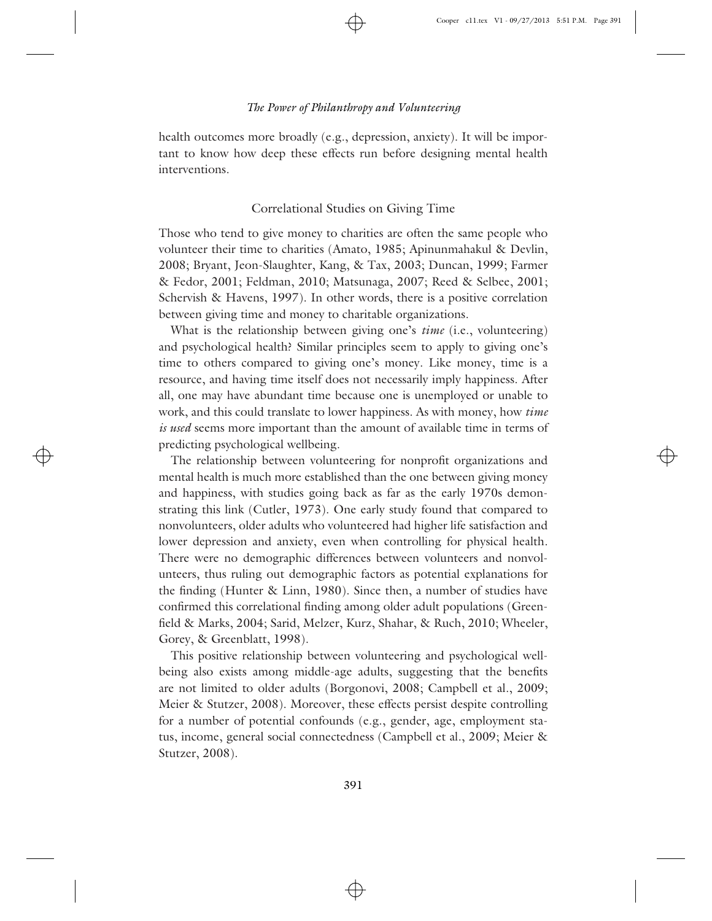health outcomes more broadly (e.g., depression, anxiety). It will be important to know how deep these effects run before designing mental health interventions.

#### Correlational Studies on Giving Time

Those who tend to give money to charities are often the same people who volunteer their time to charities (Amato, 1985; Apinunmahakul & Devlin, 2008; Bryant, Jeon-Slaughter, Kang, & Tax, 2003; Duncan, 1999; Farmer & Fedor, 2001; Feldman, 2010; Matsunaga, 2007; Reed & Selbee, 2001; Schervish & Havens, 1997). In other words, there is a positive correlation between giving time and money to charitable organizations.

What is the relationship between giving one's *time* (i.e., volunteering) and psychological health? Similar principles seem to apply to giving one's time to others compared to giving one's money. Like money, time is a resource, and having time itself does not necessarily imply happiness. After all, one may have abundant time because one is unemployed or unable to work, and this could translate to lower happiness. As with money, how *time is used* seems more important than the amount of available time in terms of predicting psychological wellbeing.

The relationship between volunteering for nonprofit organizations and mental health is much more established than the one between giving money and happiness, with studies going back as far as the early 1970s demonstrating this link (Cutler, 1973). One early study found that compared to nonvolunteers, older adults who volunteered had higher life satisfaction and lower depression and anxiety, even when controlling for physical health. There were no demographic differences between volunteers and nonvolunteers, thus ruling out demographic factors as potential explanations for the finding (Hunter & Linn, 1980). Since then, a number of studies have confirmed this correlational finding among older adult populations (Greenfield & Marks, 2004; Sarid, Melzer, Kurz, Shahar, & Ruch, 2010; Wheeler, Gorey, & Greenblatt, 1998).

This positive relationship between volunteering and psychological wellbeing also exists among middle-age adults, suggesting that the benefits are not limited to older adults (Borgonovi, 2008; Campbell et al., 2009; Meier & Stutzer, 2008). Moreover, these effects persist despite controlling for a number of potential confounds (e.g., gender, age, employment status, income, general social connectedness (Campbell et al., 2009; Meier & Stutzer, 2008).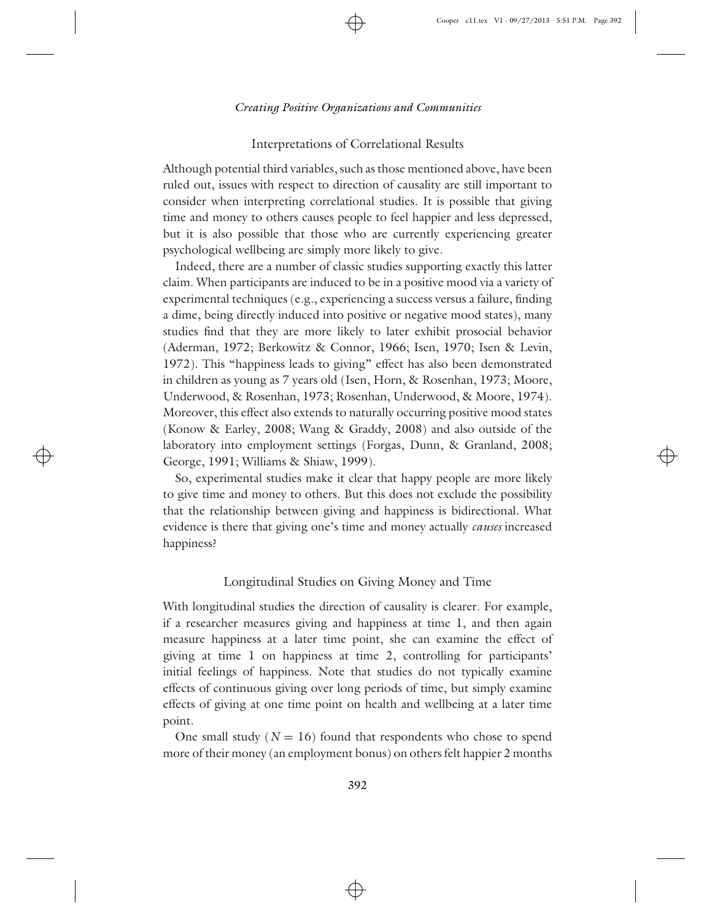#### Interpretations of Correlational Results

Although potential third variables, such as those mentioned above, have been ruled out, issues with respect to direction of causality are still important to consider when interpreting correlational studies. It is possible that giving time and money to others causes people to feel happier and less depressed, but it is also possible that those who are currently experiencing greater psychological wellbeing are simply more likely to give.

Indeed, there are a number of classic studies supporting exactly this latter claim. When participants are induced to be in a positive mood via a variety of experimental techniques (e.g., experiencing a success versus a failure, finding a dime, being directly induced into positive or negative mood states), many studies find that they are more likely to later exhibit prosocial behavior (Aderman, 1972; Berkowitz & Connor, 1966; Isen, 1970; Isen & Levin, 1972). This "happiness leads to giving" effect has also been demonstrated in children as young as 7 years old (Isen, Horn, & Rosenhan, 1973; Moore, Underwood, & Rosenhan, 1973; Rosenhan, Underwood, & Moore, 1974). Moreover, this effect also extends to naturally occurring positive mood states (Konow & Earley, 2008; Wang & Graddy, 2008) and also outside of the laboratory into employment settings (Forgas, Dunn, & Granland, 2008; George, 1991; Williams & Shiaw, 1999).

So, experimental studies make it clear that happy people are more likely to give time and money to others. But this does not exclude the possibility that the relationship between giving and happiness is bidirectional. What evidence is there that giving one's time and money actually *causes* increased happiness?

#### Longitudinal Studies on Giving Money and Time

With longitudinal studies the direction of causality is clearer. For example, if a researcher measures giving and happiness at time 1, and then again measure happiness at a later time point, she can examine the effect of giving at time 1 on happiness at time 2, controlling for participants' initial feelings of happiness. Note that studies do not typically examine effects of continuous giving over long periods of time, but simply examine effects of giving at one time point on health and wellbeing at a later time point.

One small study  $(N = 16)$  found that respondents who chose to spend more of their money (an employment bonus) on others felt happier 2 months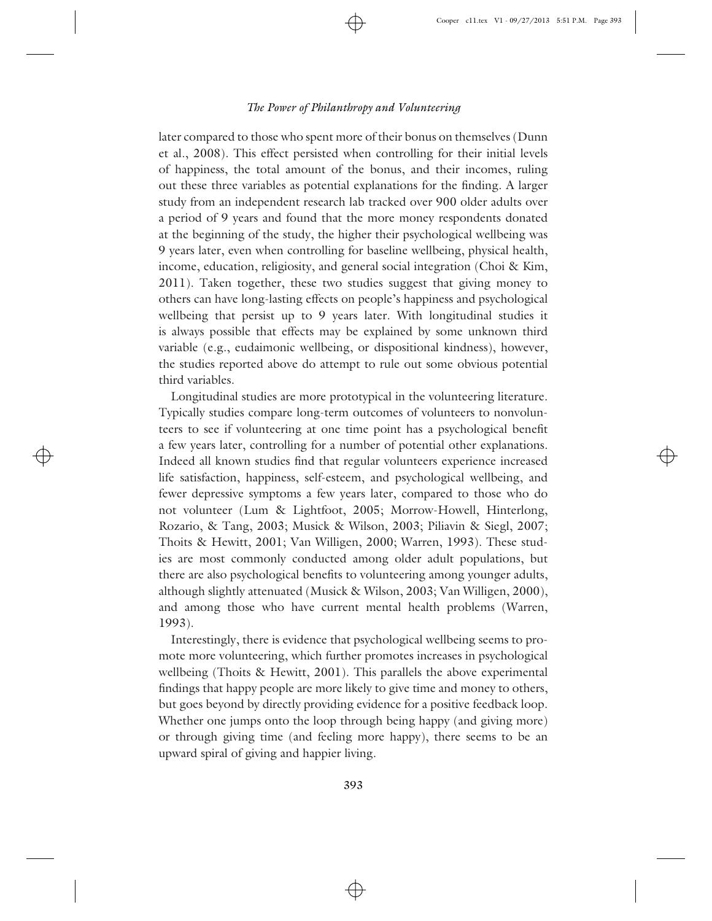later compared to those who spent more of their bonus on themselves (Dunn et al., 2008). This effect persisted when controlling for their initial levels of happiness, the total amount of the bonus, and their incomes, ruling out these three variables as potential explanations for the finding. A larger study from an independent research lab tracked over 900 older adults over a period of 9 years and found that the more money respondents donated at the beginning of the study, the higher their psychological wellbeing was 9 years later, even when controlling for baseline wellbeing, physical health, income, education, religiosity, and general social integration (Choi & Kim, 2011). Taken together, these two studies suggest that giving money to others can have long-lasting effects on people's happiness and psychological wellbeing that persist up to 9 years later. With longitudinal studies it is always possible that effects may be explained by some unknown third variable (e.g., eudaimonic wellbeing, or dispositional kindness), however, the studies reported above do attempt to rule out some obvious potential third variables.

Longitudinal studies are more prototypical in the volunteering literature. Typically studies compare long-term outcomes of volunteers to nonvolunteers to see if volunteering at one time point has a psychological benefit a few years later, controlling for a number of potential other explanations. Indeed all known studies find that regular volunteers experience increased life satisfaction, happiness, self-esteem, and psychological wellbeing, and fewer depressive symptoms a few years later, compared to those who do not volunteer (Lum & Lightfoot, 2005; Morrow-Howell, Hinterlong, Rozario, & Tang, 2003; Musick & Wilson, 2003; Piliavin & Siegl, 2007; Thoits & Hewitt, 2001; Van Willigen, 2000; Warren, 1993). These studies are most commonly conducted among older adult populations, but there are also psychological benefits to volunteering among younger adults, although slightly attenuated (Musick & Wilson, 2003; Van Willigen, 2000), and among those who have current mental health problems (Warren, 1993).

Interestingly, there is evidence that psychological wellbeing seems to promote more volunteering, which further promotes increases in psychological wellbeing (Thoits & Hewitt, 2001). This parallels the above experimental findings that happy people are more likely to give time and money to others, but goes beyond by directly providing evidence for a positive feedback loop. Whether one jumps onto the loop through being happy (and giving more) or through giving time (and feeling more happy), there seems to be an upward spiral of giving and happier living.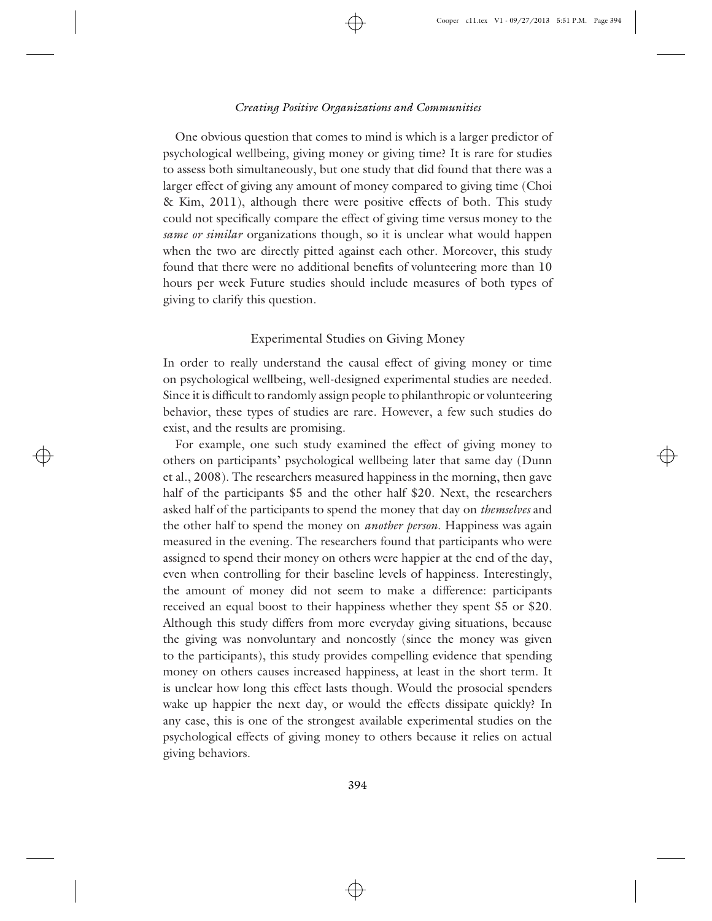One obvious question that comes to mind is which is a larger predictor of psychological wellbeing, giving money or giving time? It is rare for studies to assess both simultaneously, but one study that did found that there was a larger effect of giving any amount of money compared to giving time (Choi & Kim, 2011), although there were positive effects of both. This study could not specifically compare the effect of giving time versus money to the *same or similar* organizations though, so it is unclear what would happen when the two are directly pitted against each other. Moreover, this study found that there were no additional benefits of volunteering more than 10 hours per week Future studies should include measures of both types of giving to clarify this question.

# Experimental Studies on Giving Money

In order to really understand the causal effect of giving money or time on psychological wellbeing, well-designed experimental studies are needed. Since it is difficult to randomly assign people to philanthropic or volunteering behavior, these types of studies are rare. However, a few such studies do exist, and the results are promising.

For example, one such study examined the effect of giving money to others on participants' psychological wellbeing later that same day (Dunn et al., 2008). The researchers measured happiness in the morning, then gave half of the participants \$5 and the other half \$20. Next, the researchers asked half of the participants to spend the money that day on *themselves* and the other half to spend the money on *another person*. Happiness was again measured in the evening. The researchers found that participants who were assigned to spend their money on others were happier at the end of the day, even when controlling for their baseline levels of happiness. Interestingly, the amount of money did not seem to make a difference: participants received an equal boost to their happiness whether they spent \$5 or \$20. Although this study differs from more everyday giving situations, because the giving was nonvoluntary and noncostly (since the money was given to the participants), this study provides compelling evidence that spending money on others causes increased happiness, at least in the short term. It is unclear how long this effect lasts though. Would the prosocial spenders wake up happier the next day, or would the effects dissipate quickly? In any case, this is one of the strongest available experimental studies on the psychological effects of giving money to others because it relies on actual giving behaviors.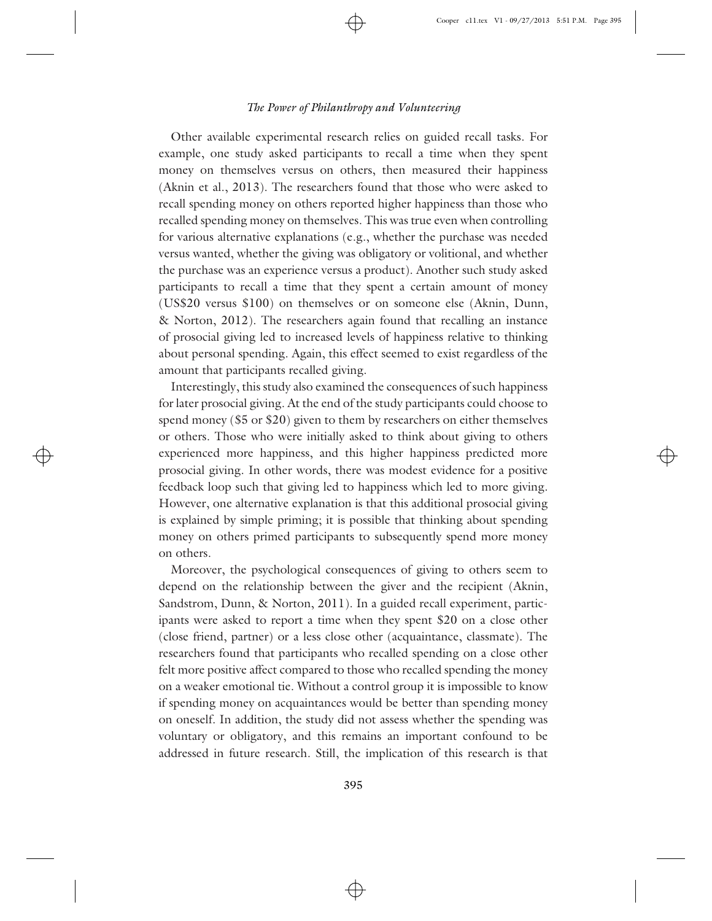Other available experimental research relies on guided recall tasks. For example, one study asked participants to recall a time when they spent money on themselves versus on others, then measured their happiness (Aknin et al., 2013). The researchers found that those who were asked to recall spending money on others reported higher happiness than those who recalled spending money on themselves. This was true even when controlling for various alternative explanations (e.g., whether the purchase was needed versus wanted, whether the giving was obligatory or volitional, and whether the purchase was an experience versus a product). Another such study asked participants to recall a time that they spent a certain amount of money (US\$20 versus \$100) on themselves or on someone else (Aknin, Dunn, & Norton, 2012). The researchers again found that recalling an instance of prosocial giving led to increased levels of happiness relative to thinking about personal spending. Again, this effect seemed to exist regardless of the amount that participants recalled giving.

Interestingly, this study also examined the consequences of such happiness for later prosocial giving. At the end of the study participants could choose to spend money (\$5 or \$20) given to them by researchers on either themselves or others. Those who were initially asked to think about giving to others experienced more happiness, and this higher happiness predicted more prosocial giving. In other words, there was modest evidence for a positive feedback loop such that giving led to happiness which led to more giving. However, one alternative explanation is that this additional prosocial giving is explained by simple priming; it is possible that thinking about spending money on others primed participants to subsequently spend more money on others.

Moreover, the psychological consequences of giving to others seem to depend on the relationship between the giver and the recipient (Aknin, Sandstrom, Dunn, & Norton, 2011). In a guided recall experiment, participants were asked to report a time when they spent \$20 on a close other (close friend, partner) or a less close other (acquaintance, classmate). The researchers found that participants who recalled spending on a close other felt more positive affect compared to those who recalled spending the money on a weaker emotional tie. Without a control group it is impossible to know if spending money on acquaintances would be better than spending money on oneself. In addition, the study did not assess whether the spending was voluntary or obligatory, and this remains an important confound to be addressed in future research. Still, the implication of this research is that

395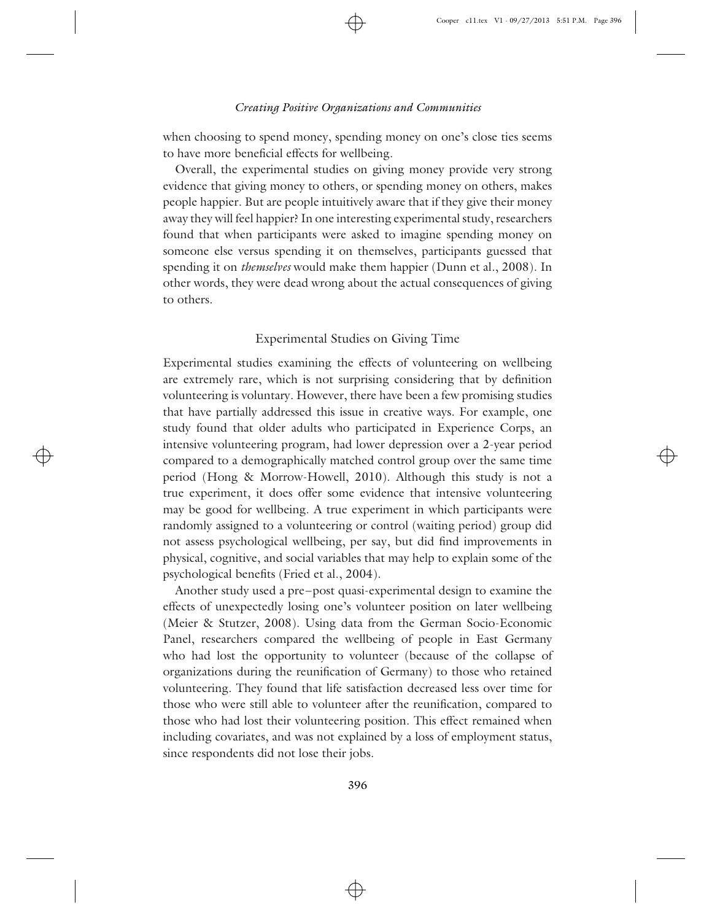when choosing to spend money, spending money on one's close ties seems to have more beneficial effects for wellbeing.

Overall, the experimental studies on giving money provide very strong evidence that giving money to others, or spending money on others, makes people happier. But are people intuitively aware that if they give their money away they will feel happier? In one interesting experimental study, researchers found that when participants were asked to imagine spending money on someone else versus spending it on themselves, participants guessed that spending it on *themselves* would make them happier (Dunn et al., 2008). In other words, they were dead wrong about the actual consequences of giving to others.

# Experimental Studies on Giving Time

Experimental studies examining the effects of volunteering on wellbeing are extremely rare, which is not surprising considering that by definition volunteering is voluntary. However, there have been a few promising studies that have partially addressed this issue in creative ways. For example, one study found that older adults who participated in Experience Corps, an intensive volunteering program, had lower depression over a 2-year period compared to a demographically matched control group over the same time period (Hong & Morrow-Howell, 2010). Although this study is not a true experiment, it does offer some evidence that intensive volunteering may be good for wellbeing. A true experiment in which participants were randomly assigned to a volunteering or control (waiting period) group did not assess psychological wellbeing, per say, but did find improvements in physical, cognitive, and social variables that may help to explain some of the psychological benefits (Fried et al., 2004).

Another study used a pre–post quasi-experimental design to examine the effects of unexpectedly losing one's volunteer position on later wellbeing (Meier & Stutzer, 2008). Using data from the German Socio-Economic Panel, researchers compared the wellbeing of people in East Germany who had lost the opportunity to volunteer (because of the collapse of organizations during the reunification of Germany) to those who retained volunteering. They found that life satisfaction decreased less over time for those who were still able to volunteer after the reunification, compared to those who had lost their volunteering position. This effect remained when including covariates, and was not explained by a loss of employment status, since respondents did not lose their jobs.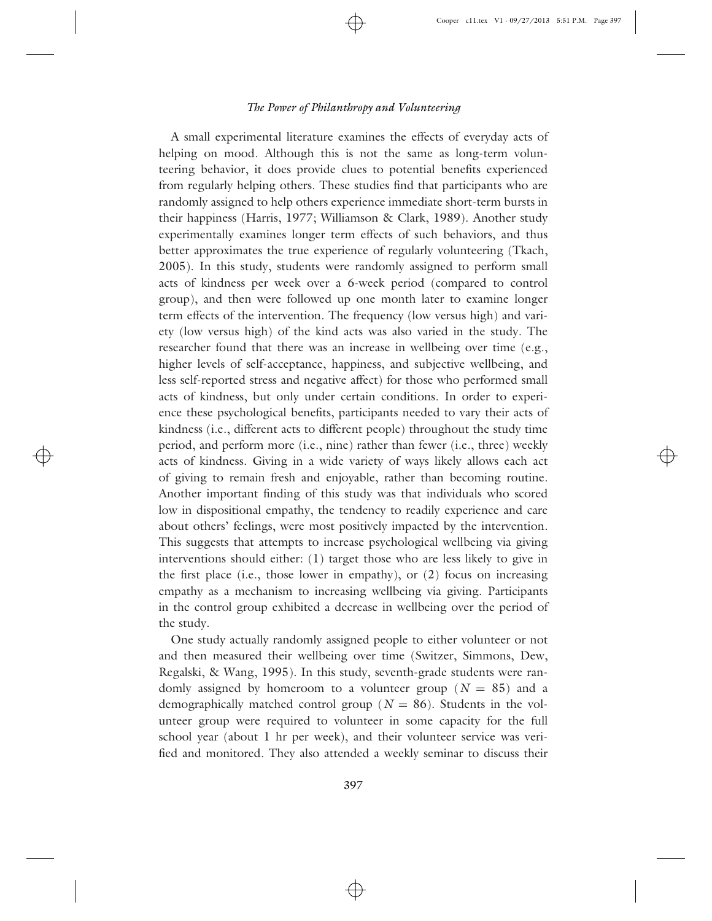A small experimental literature examines the effects of everyday acts of helping on mood. Although this is not the same as long-term volunteering behavior, it does provide clues to potential benefits experienced from regularly helping others. These studies find that participants who are randomly assigned to help others experience immediate short-term bursts in their happiness (Harris, 1977; Williamson & Clark, 1989). Another study experimentally examines longer term effects of such behaviors, and thus better approximates the true experience of regularly volunteering (Tkach, 2005). In this study, students were randomly assigned to perform small acts of kindness per week over a 6-week period (compared to control group), and then were followed up one month later to examine longer term effects of the intervention. The frequency (low versus high) and variety (low versus high) of the kind acts was also varied in the study. The researcher found that there was an increase in wellbeing over time (e.g., higher levels of self-acceptance, happiness, and subjective wellbeing, and less self-reported stress and negative affect) for those who performed small acts of kindness, but only under certain conditions. In order to experience these psychological benefits, participants needed to vary their acts of kindness (i.e., different acts to different people) throughout the study time period, and perform more (i.e., nine) rather than fewer (i.e., three) weekly acts of kindness. Giving in a wide variety of ways likely allows each act of giving to remain fresh and enjoyable, rather than becoming routine. Another important finding of this study was that individuals who scored low in dispositional empathy, the tendency to readily experience and care about others' feelings, were most positively impacted by the intervention. This suggests that attempts to increase psychological wellbeing via giving interventions should either: (1) target those who are less likely to give in the first place (i.e., those lower in empathy), or (2) focus on increasing empathy as a mechanism to increasing wellbeing via giving. Participants in the control group exhibited a decrease in wellbeing over the period of the study.

One study actually randomly assigned people to either volunteer or not and then measured their wellbeing over time (Switzer, Simmons, Dew, Regalski, & Wang, 1995). In this study, seventh-grade students were randomly assigned by homeroom to a volunteer group ( $N = 85$ ) and a demographically matched control group ( $N = 86$ ). Students in the volunteer group were required to volunteer in some capacity for the full school year (about 1 hr per week), and their volunteer service was verified and monitored. They also attended a weekly seminar to discuss their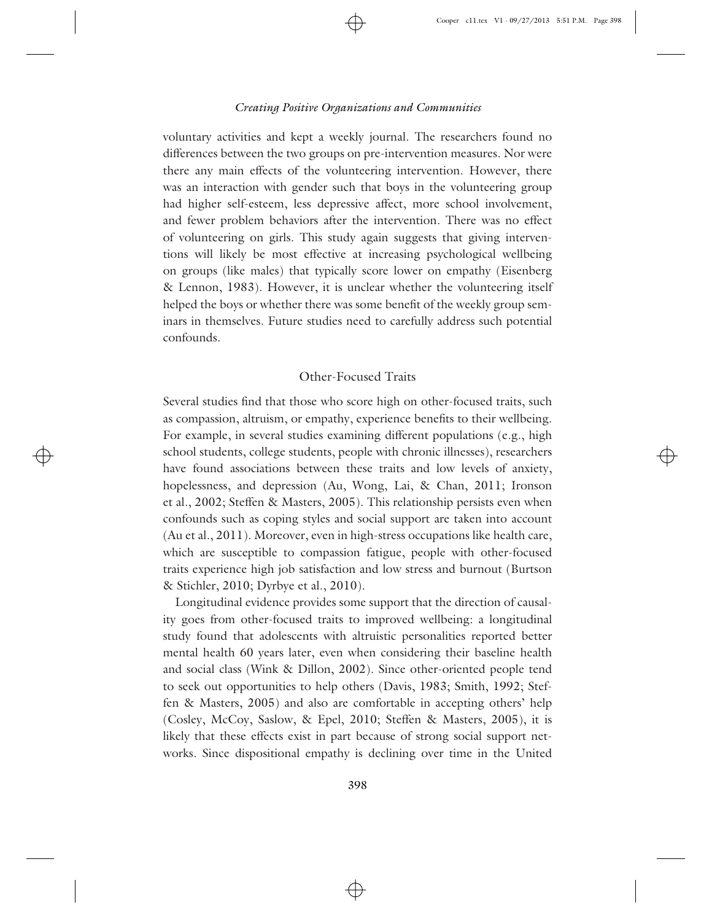voluntary activities and kept a weekly journal. The researchers found no differences between the two groups on pre-intervention measures. Nor were there any main effects of the volunteering intervention. However, there was an interaction with gender such that boys in the volunteering group had higher self-esteem, less depressive affect, more school involvement, and fewer problem behaviors after the intervention. There was no effect of volunteering on girls. This study again suggests that giving interventions will likely be most effective at increasing psychological wellbeing on groups (like males) that typically score lower on empathy (Eisenberg & Lennon, 1983). However, it is unclear whether the volunteering itself helped the boys or whether there was some benefit of the weekly group seminars in themselves. Future studies need to carefully address such potential confounds.

# Other-Focused Traits

Several studies find that those who score high on other-focused traits, such as compassion, altruism, or empathy, experience benefits to their wellbeing. For example, in several studies examining different populations (e.g., high school students, college students, people with chronic illnesses), researchers have found associations between these traits and low levels of anxiety, hopelessness, and depression (Au, Wong, Lai, & Chan, 2011; Ironson et al., 2002; Steffen & Masters, 2005). This relationship persists even when confounds such as coping styles and social support are taken into account (Au et al., 2011). Moreover, even in high-stress occupations like health care, which are susceptible to compassion fatigue, people with other-focused traits experience high job satisfaction and low stress and burnout (Burtson & Stichler, 2010; Dyrbye et al., 2010).

Longitudinal evidence provides some support that the direction of causality goes from other-focused traits to improved wellbeing: a longitudinal study found that adolescents with altruistic personalities reported better mental health 60 years later, even when considering their baseline health and social class (Wink & Dillon, 2002). Since other-oriented people tend to seek out opportunities to help others (Davis, 1983; Smith, 1992; Steffen & Masters, 2005) and also are comfortable in accepting others' help (Cosley, McCoy, Saslow, & Epel, 2010; Steffen & Masters, 2005), it is likely that these effects exist in part because of strong social support networks. Since dispositional empathy is declining over time in the United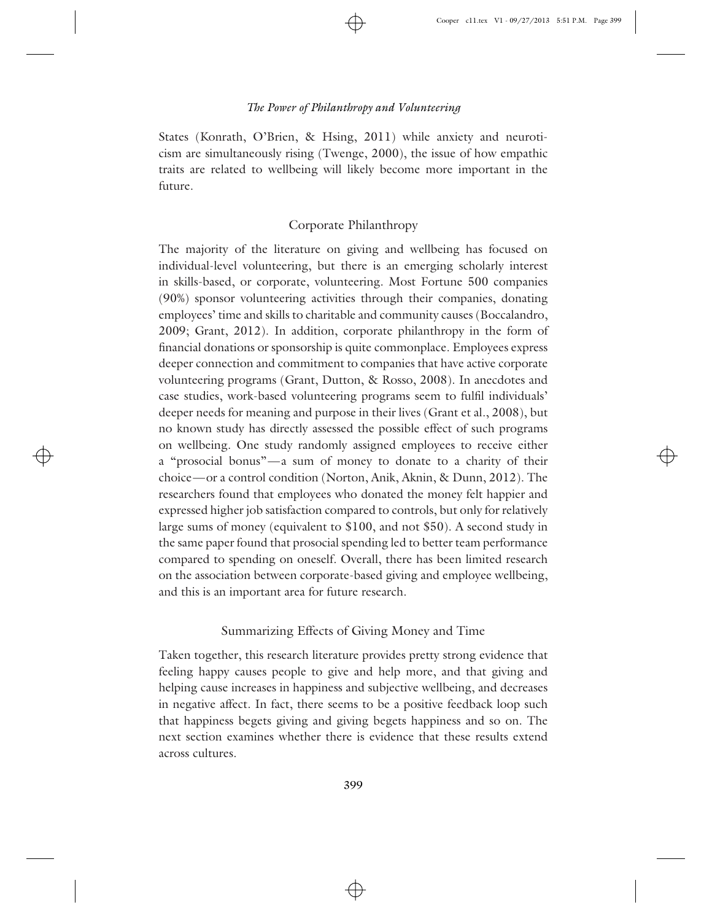States (Konrath, O'Brien, & Hsing, 2011) while anxiety and neuroticism are simultaneously rising (Twenge, 2000), the issue of how empathic traits are related to wellbeing will likely become more important in the future.

#### Corporate Philanthropy

The majority of the literature on giving and wellbeing has focused on individual-level volunteering, but there is an emerging scholarly interest in skills-based, or corporate, volunteering. Most Fortune 500 companies (90%) sponsor volunteering activities through their companies, donating employees' time and skills to charitable and community causes (Boccalandro, 2009; Grant, 2012). In addition, corporate philanthropy in the form of financial donations or sponsorship is quite commonplace. Employees express deeper connection and commitment to companies that have active corporate volunteering programs (Grant, Dutton, & Rosso, 2008). In anecdotes and case studies, work-based volunteering programs seem to fulfil individuals' deeper needs for meaning and purpose in their lives (Grant et al., 2008), but no known study has directly assessed the possible effect of such programs on wellbeing. One study randomly assigned employees to receive either a "prosocial bonus"—a sum of money to donate to a charity of their choice—or a control condition (Norton, Anik, Aknin, & Dunn, 2012). The researchers found that employees who donated the money felt happier and expressed higher job satisfaction compared to controls, but only for relatively large sums of money (equivalent to \$100, and not \$50). A second study in the same paper found that prosocial spending led to better team performance compared to spending on oneself. Overall, there has been limited research on the association between corporate-based giving and employee wellbeing, and this is an important area for future research.

#### Summarizing Effects of Giving Money and Time

Taken together, this research literature provides pretty strong evidence that feeling happy causes people to give and help more, and that giving and helping cause increases in happiness and subjective wellbeing, and decreases in negative affect. In fact, there seems to be a positive feedback loop such that happiness begets giving and giving begets happiness and so on. The next section examines whether there is evidence that these results extend across cultures.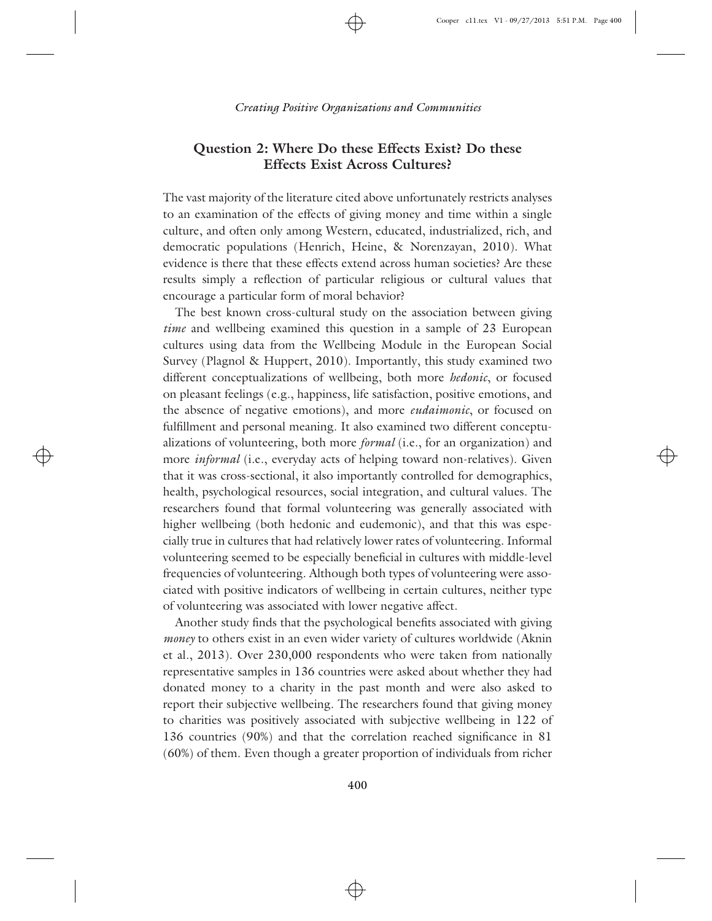# **Question 2: Where Do these Effects Exist? Do these Effects Exist Across Cultures?**

The vast majority of the literature cited above unfortunately restricts analyses to an examination of the effects of giving money and time within a single culture, and often only among Western, educated, industrialized, rich, and democratic populations (Henrich, Heine, & Norenzayan, 2010). What evidence is there that these effects extend across human societies? Are these results simply a reflection of particular religious or cultural values that encourage a particular form of moral behavior?

The best known cross-cultural study on the association between giving *time* and wellbeing examined this question in a sample of 23 European cultures using data from the Wellbeing Module in the European Social Survey (Plagnol & Huppert, 2010). Importantly, this study examined two different conceptualizations of wellbeing, both more *hedonic*, or focused on pleasant feelings (e.g., happiness, life satisfaction, positive emotions, and the absence of negative emotions), and more *eudaimonic*, or focused on fulfillment and personal meaning. It also examined two different conceptualizations of volunteering, both more *formal* (i.e., for an organization) and more *informal* (i.e., everyday acts of helping toward non-relatives). Given that it was cross-sectional, it also importantly controlled for demographics, health, psychological resources, social integration, and cultural values. The researchers found that formal volunteering was generally associated with higher wellbeing (both hedonic and eudemonic), and that this was especially true in cultures that had relatively lower rates of volunteering. Informal volunteering seemed to be especially beneficial in cultures with middle-level frequencies of volunteering. Although both types of volunteering were associated with positive indicators of wellbeing in certain cultures, neither type of volunteering was associated with lower negative affect.

Another study finds that the psychological benefits associated with giving *money* to others exist in an even wider variety of cultures worldwide (Aknin et al., 2013). Over 230,000 respondents who were taken from nationally representative samples in 136 countries were asked about whether they had donated money to a charity in the past month and were also asked to report their subjective wellbeing. The researchers found that giving money to charities was positively associated with subjective wellbeing in 122 of 136 countries (90%) and that the correlation reached significance in 81 (60%) of them. Even though a greater proportion of individuals from richer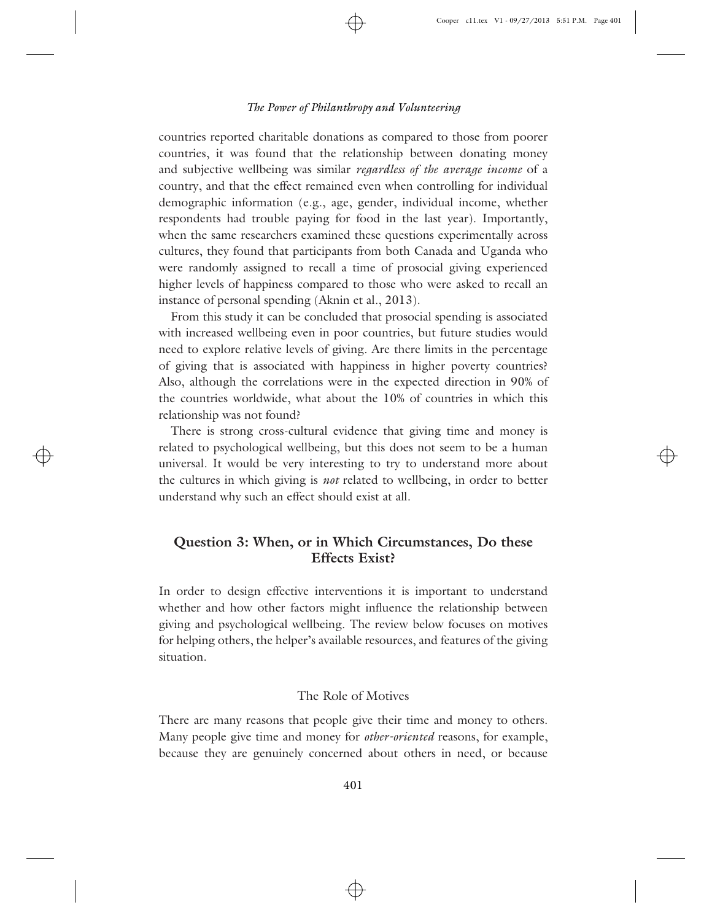countries reported charitable donations as compared to those from poorer countries, it was found that the relationship between donating money and subjective wellbeing was similar *regardless of the average income* of a country, and that the effect remained even when controlling for individual demographic information (e.g., age, gender, individual income, whether respondents had trouble paying for food in the last year). Importantly, when the same researchers examined these questions experimentally across cultures, they found that participants from both Canada and Uganda who were randomly assigned to recall a time of prosocial giving experienced higher levels of happiness compared to those who were asked to recall an instance of personal spending (Aknin et al., 2013).

From this study it can be concluded that prosocial spending is associated with increased wellbeing even in poor countries, but future studies would need to explore relative levels of giving. Are there limits in the percentage of giving that is associated with happiness in higher poverty countries? Also, although the correlations were in the expected direction in 90% of the countries worldwide, what about the 10% of countries in which this relationship was not found?

There is strong cross-cultural evidence that giving time and money is related to psychological wellbeing, but this does not seem to be a human universal. It would be very interesting to try to understand more about the cultures in which giving is *not* related to wellbeing, in order to better understand why such an effect should exist at all.

# **Question 3: When, or in Which Circumstances, Do these Effects Exist?**

In order to design effective interventions it is important to understand whether and how other factors might influence the relationship between giving and psychological wellbeing. The review below focuses on motives for helping others, the helper's available resources, and features of the giving situation.

### The Role of Motives

There are many reasons that people give their time and money to others. Many people give time and money for *other-oriented* reasons, for example, because they are genuinely concerned about others in need, or because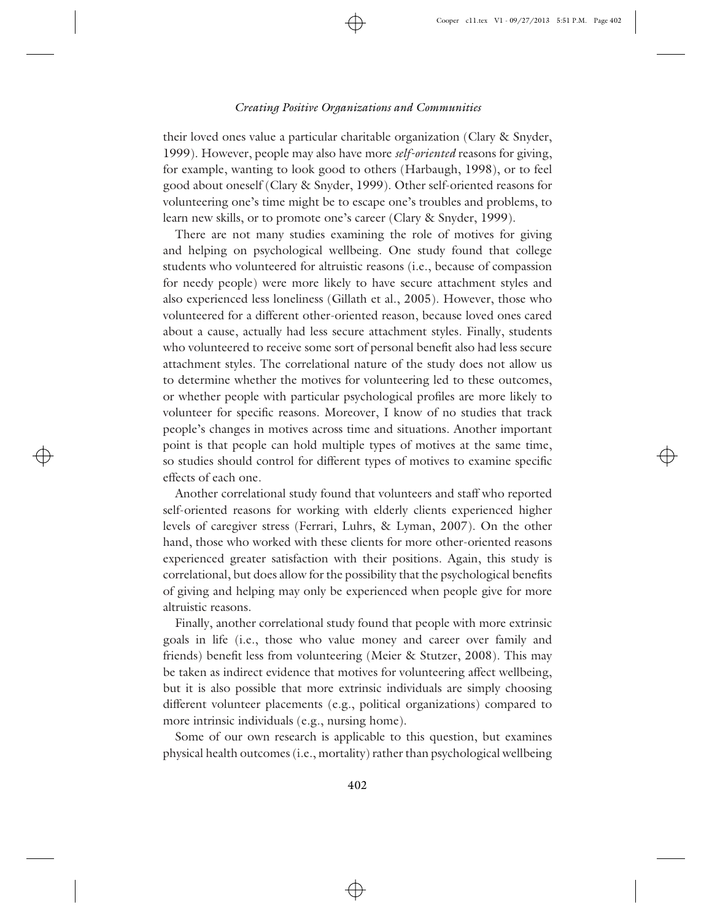their loved ones value a particular charitable organization (Clary & Snyder, 1999). However, people may also have more *self-oriented* reasons for giving, for example, wanting to look good to others (Harbaugh, 1998), or to feel good about oneself (Clary & Snyder, 1999). Other self-oriented reasons for volunteering one's time might be to escape one's troubles and problems, to learn new skills, or to promote one's career (Clary & Snyder, 1999).

There are not many studies examining the role of motives for giving and helping on psychological wellbeing. One study found that college students who volunteered for altruistic reasons (i.e., because of compassion for needy people) were more likely to have secure attachment styles and also experienced less loneliness (Gillath et al., 2005). However, those who volunteered for a different other-oriented reason, because loved ones cared about a cause, actually had less secure attachment styles. Finally, students who volunteered to receive some sort of personal benefit also had less secure attachment styles. The correlational nature of the study does not allow us to determine whether the motives for volunteering led to these outcomes, or whether people with particular psychological profiles are more likely to volunteer for specific reasons. Moreover, I know of no studies that track people's changes in motives across time and situations. Another important point is that people can hold multiple types of motives at the same time, so studies should control for different types of motives to examine specific effects of each one.

Another correlational study found that volunteers and staff who reported self-oriented reasons for working with elderly clients experienced higher levels of caregiver stress (Ferrari, Luhrs, & Lyman, 2007). On the other hand, those who worked with these clients for more other-oriented reasons experienced greater satisfaction with their positions. Again, this study is correlational, but does allow for the possibility that the psychological benefits of giving and helping may only be experienced when people give for more altruistic reasons.

Finally, another correlational study found that people with more extrinsic goals in life (i.e., those who value money and career over family and friends) benefit less from volunteering (Meier & Stutzer, 2008). This may be taken as indirect evidence that motives for volunteering affect wellbeing, but it is also possible that more extrinsic individuals are simply choosing different volunteer placements (e.g., political organizations) compared to more intrinsic individuals (e.g., nursing home).

Some of our own research is applicable to this question, but examines physical health outcomes (i.e., mortality) rather than psychological wellbeing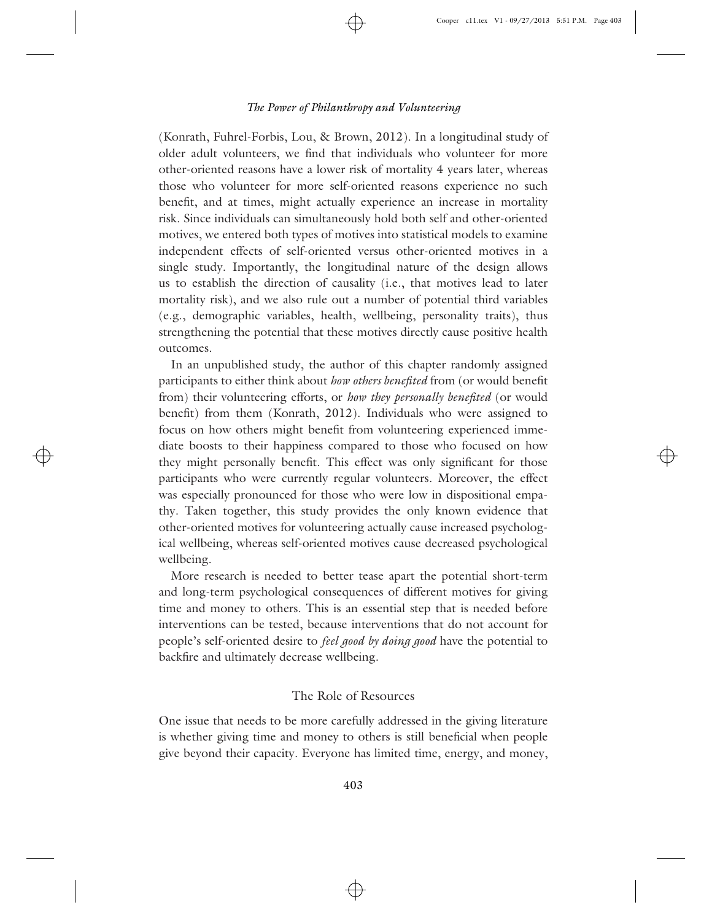(Konrath, Fuhrel-Forbis, Lou, & Brown, 2012). In a longitudinal study of older adult volunteers, we find that individuals who volunteer for more other-oriented reasons have a lower risk of mortality 4 years later, whereas those who volunteer for more self-oriented reasons experience no such benefit, and at times, might actually experience an increase in mortality risk. Since individuals can simultaneously hold both self and other-oriented motives, we entered both types of motives into statistical models to examine independent effects of self-oriented versus other-oriented motives in a single study. Importantly, the longitudinal nature of the design allows us to establish the direction of causality (i.e., that motives lead to later mortality risk), and we also rule out a number of potential third variables (e.g., demographic variables, health, wellbeing, personality traits), thus strengthening the potential that these motives directly cause positive health outcomes.

In an unpublished study, the author of this chapter randomly assigned participants to either think about *how others benefited* from (or would benefit from) their volunteering efforts, or *how they personally benefited* (or would benefit) from them (Konrath, 2012). Individuals who were assigned to focus on how others might benefit from volunteering experienced immediate boosts to their happiness compared to those who focused on how they might personally benefit. This effect was only significant for those participants who were currently regular volunteers. Moreover, the effect was especially pronounced for those who were low in dispositional empathy. Taken together, this study provides the only known evidence that other-oriented motives for volunteering actually cause increased psychological wellbeing, whereas self-oriented motives cause decreased psychological wellbeing.

More research is needed to better tease apart the potential short-term and long-term psychological consequences of different motives for giving time and money to others. This is an essential step that is needed before interventions can be tested, because interventions that do not account for people's self-oriented desire to *feel good by doing good* have the potential to backfire and ultimately decrease wellbeing.

#### The Role of Resources

One issue that needs to be more carefully addressed in the giving literature is whether giving time and money to others is still beneficial when people give beyond their capacity. Everyone has limited time, energy, and money,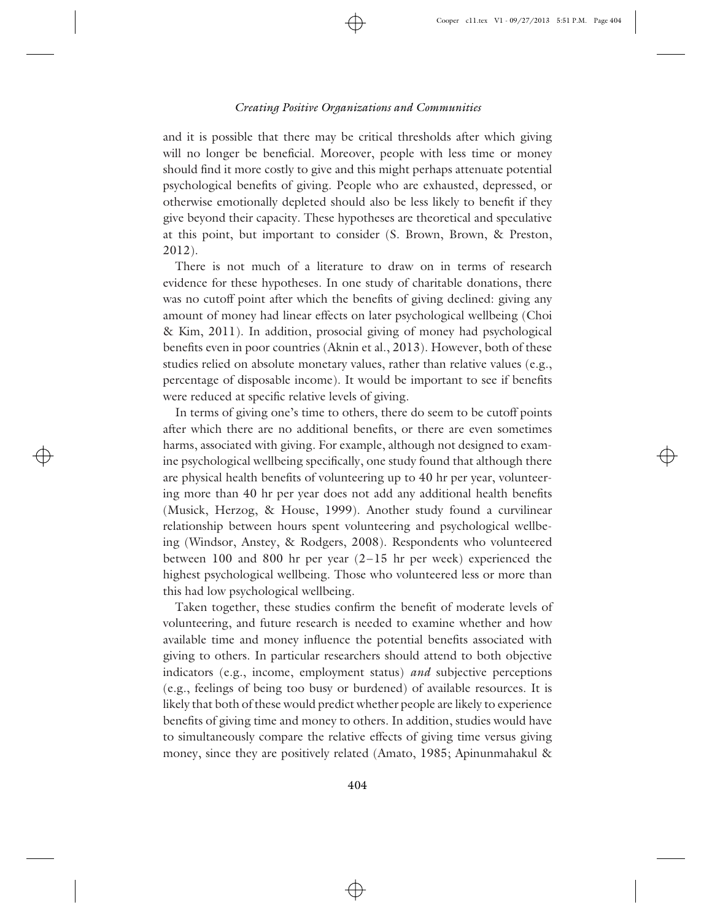and it is possible that there may be critical thresholds after which giving will no longer be beneficial. Moreover, people with less time or money should find it more costly to give and this might perhaps attenuate potential psychological benefits of giving. People who are exhausted, depressed, or otherwise emotionally depleted should also be less likely to benefit if they give beyond their capacity. These hypotheses are theoretical and speculative at this point, but important to consider (S. Brown, Brown, & Preston, 2012).

There is not much of a literature to draw on in terms of research evidence for these hypotheses. In one study of charitable donations, there was no cutoff point after which the benefits of giving declined: giving any amount of money had linear effects on later psychological wellbeing (Choi & Kim, 2011). In addition, prosocial giving of money had psychological benefits even in poor countries (Aknin et al., 2013). However, both of these studies relied on absolute monetary values, rather than relative values (e.g., percentage of disposable income). It would be important to see if benefits were reduced at specific relative levels of giving.

In terms of giving one's time to others, there do seem to be cutoff points after which there are no additional benefits, or there are even sometimes harms, associated with giving. For example, although not designed to examine psychological wellbeing specifically, one study found that although there are physical health benefits of volunteering up to 40 hr per year, volunteering more than 40 hr per year does not add any additional health benefits (Musick, Herzog, & House, 1999). Another study found a curvilinear relationship between hours spent volunteering and psychological wellbeing (Windsor, Anstey, & Rodgers, 2008). Respondents who volunteered between 100 and 800 hr per year (2–15 hr per week) experienced the highest psychological wellbeing. Those who volunteered less or more than this had low psychological wellbeing.

Taken together, these studies confirm the benefit of moderate levels of volunteering, and future research is needed to examine whether and how available time and money influence the potential benefits associated with giving to others. In particular researchers should attend to both objective indicators (e.g., income, employment status) *and* subjective perceptions (e.g., feelings of being too busy or burdened) of available resources. It is likely that both of these would predict whether people are likely to experience benefits of giving time and money to others. In addition, studies would have to simultaneously compare the relative effects of giving time versus giving money, since they are positively related (Amato, 1985; Apinunmahakul &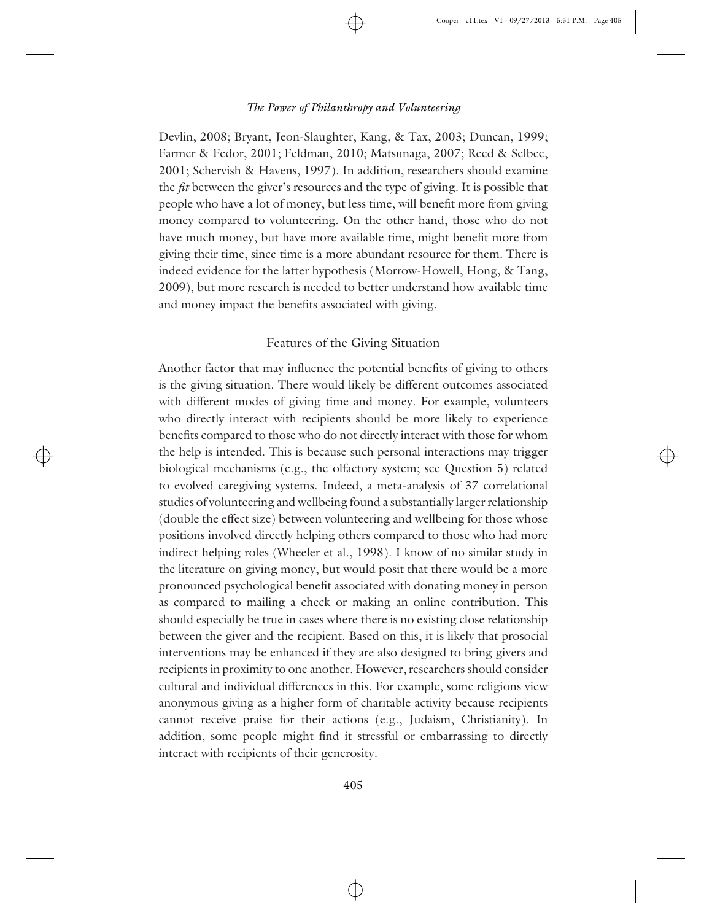Devlin, 2008; Bryant, Jeon-Slaughter, Kang, & Tax, 2003; Duncan, 1999; Farmer & Fedor, 2001; Feldman, 2010; Matsunaga, 2007; Reed & Selbee, 2001; Schervish & Havens, 1997). In addition, researchers should examine the *fit* between the giver's resources and the type of giving. It is possible that people who have a lot of money, but less time, will benefit more from giving money compared to volunteering. On the other hand, those who do not have much money, but have more available time, might benefit more from giving their time, since time is a more abundant resource for them. There is indeed evidence for the latter hypothesis (Morrow-Howell, Hong, & Tang, 2009), but more research is needed to better understand how available time and money impact the benefits associated with giving.

#### Features of the Giving Situation

Another factor that may influence the potential benefits of giving to others is the giving situation. There would likely be different outcomes associated with different modes of giving time and money. For example, volunteers who directly interact with recipients should be more likely to experience benefits compared to those who do not directly interact with those for whom the help is intended. This is because such personal interactions may trigger biological mechanisms (e.g., the olfactory system; see Question 5) related to evolved caregiving systems. Indeed, a meta-analysis of 37 correlational studies of volunteering and wellbeing found a substantially larger relationship (double the effect size) between volunteering and wellbeing for those whose positions involved directly helping others compared to those who had more indirect helping roles (Wheeler et al., 1998). I know of no similar study in the literature on giving money, but would posit that there would be a more pronounced psychological benefit associated with donating money in person as compared to mailing a check or making an online contribution. This should especially be true in cases where there is no existing close relationship between the giver and the recipient. Based on this, it is likely that prosocial interventions may be enhanced if they are also designed to bring givers and recipients in proximity to one another. However, researchers should consider cultural and individual differences in this. For example, some religions view anonymous giving as a higher form of charitable activity because recipients cannot receive praise for their actions (e.g., Judaism, Christianity). In addition, some people might find it stressful or embarrassing to directly interact with recipients of their generosity.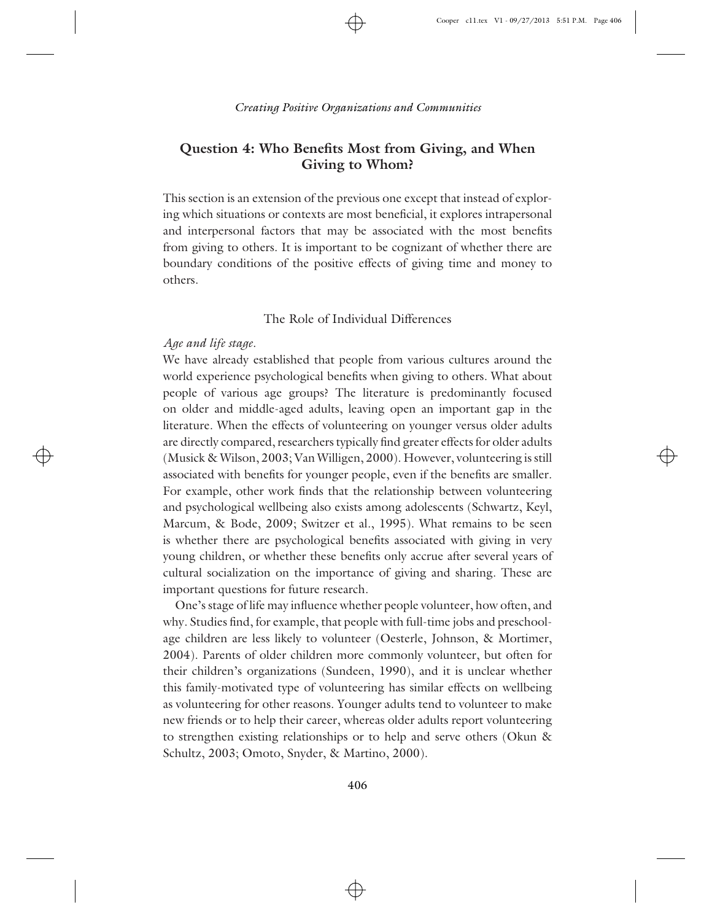# **Question 4: Who Benefits Most from Giving, and When Giving to Whom?**

This section is an extension of the previous one except that instead of exploring which situations or contexts are most beneficial, it explores intrapersonal and interpersonal factors that may be associated with the most benefits from giving to others. It is important to be cognizant of whether there are boundary conditions of the positive effects of giving time and money to others.

### The Role of Individual Differences

### *Age and life stage.*

We have already established that people from various cultures around the world experience psychological benefits when giving to others. What about people of various age groups? The literature is predominantly focused on older and middle-aged adults, leaving open an important gap in the literature. When the effects of volunteering on younger versus older adults are directly compared, researchers typically find greater effects for older adults (Musick & Wilson, 2003; Van Willigen, 2000). However, volunteering is still associated with benefits for younger people, even if the benefits are smaller. For example, other work finds that the relationship between volunteering and psychological wellbeing also exists among adolescents (Schwartz, Keyl, Marcum, & Bode, 2009; Switzer et al., 1995). What remains to be seen is whether there are psychological benefits associated with giving in very young children, or whether these benefits only accrue after several years of cultural socialization on the importance of giving and sharing. These are important questions for future research.

One's stage of life may influence whether people volunteer, how often, and why. Studies find, for example, that people with full-time jobs and preschoolage children are less likely to volunteer (Oesterle, Johnson, & Mortimer, 2004). Parents of older children more commonly volunteer, but often for their children's organizations (Sundeen, 1990), and it is unclear whether this family-motivated type of volunteering has similar effects on wellbeing as volunteering for other reasons. Younger adults tend to volunteer to make new friends or to help their career, whereas older adults report volunteering to strengthen existing relationships or to help and serve others (Okun & Schultz, 2003; Omoto, Snyder, & Martino, 2000).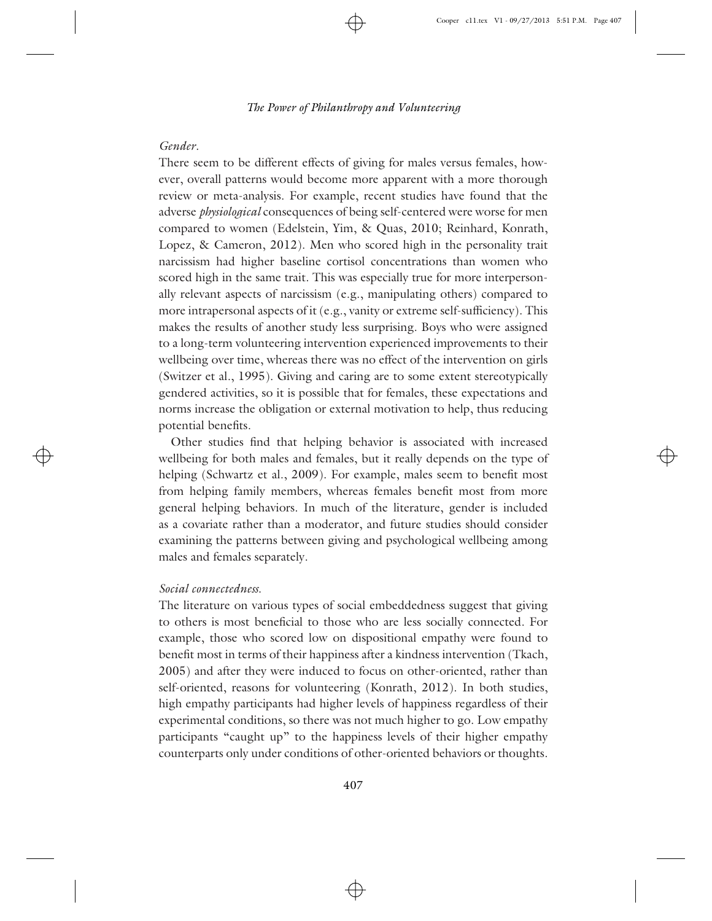#### *Gender.*

There seem to be different effects of giving for males versus females, however, overall patterns would become more apparent with a more thorough review or meta-analysis. For example, recent studies have found that the adverse *physiological* consequences of being self-centered were worse for men compared to women (Edelstein, Yim, & Quas, 2010; Reinhard, Konrath, Lopez, & Cameron, 2012). Men who scored high in the personality trait narcissism had higher baseline cortisol concentrations than women who scored high in the same trait. This was especially true for more interpersonally relevant aspects of narcissism (e.g., manipulating others) compared to more intrapersonal aspects of it (e.g., vanity or extreme self-sufficiency). This makes the results of another study less surprising. Boys who were assigned to a long-term volunteering intervention experienced improvements to their wellbeing over time, whereas there was no effect of the intervention on girls (Switzer et al., 1995). Giving and caring are to some extent stereotypically gendered activities, so it is possible that for females, these expectations and norms increase the obligation or external motivation to help, thus reducing potential benefits.

Other studies find that helping behavior is associated with increased wellbeing for both males and females, but it really depends on the type of helping (Schwartz et al., 2009). For example, males seem to benefit most from helping family members, whereas females benefit most from more general helping behaviors. In much of the literature, gender is included as a covariate rather than a moderator, and future studies should consider examining the patterns between giving and psychological wellbeing among males and females separately.

#### *Social connectedness.*

The literature on various types of social embeddedness suggest that giving to others is most beneficial to those who are less socially connected. For example, those who scored low on dispositional empathy were found to benefit most in terms of their happiness after a kindness intervention (Tkach, 2005) and after they were induced to focus on other-oriented, rather than self-oriented, reasons for volunteering (Konrath, 2012). In both studies, high empathy participants had higher levels of happiness regardless of their experimental conditions, so there was not much higher to go. Low empathy participants "caught up" to the happiness levels of their higher empathy counterparts only under conditions of other-oriented behaviors or thoughts.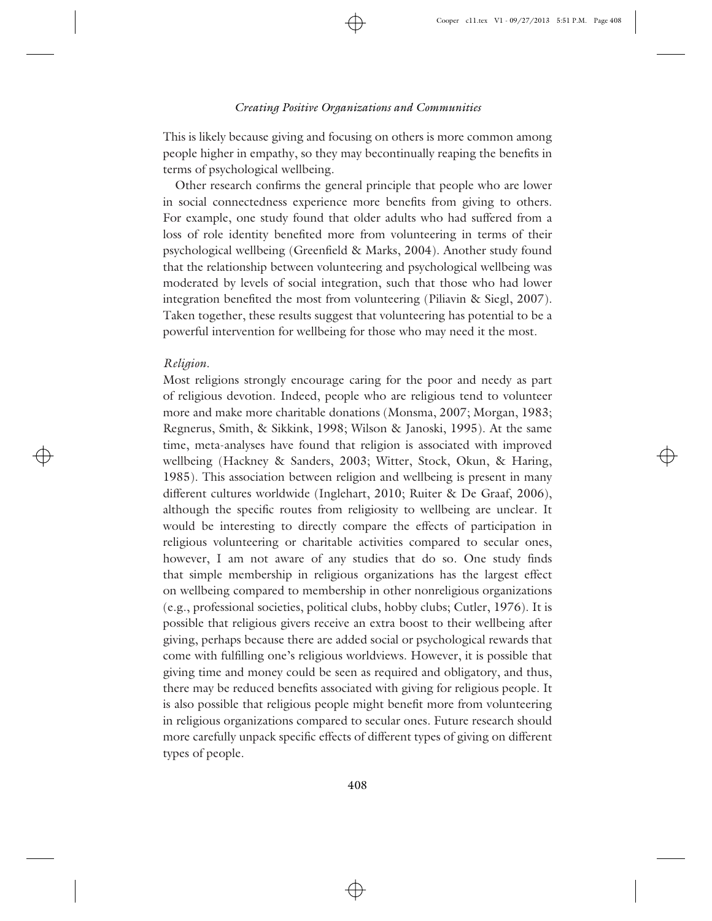This is likely because giving and focusing on others is more common among people higher in empathy, so they may becontinually reaping the benefits in terms of psychological wellbeing.

Other research confirms the general principle that people who are lower in social connectedness experience more benefits from giving to others. For example, one study found that older adults who had suffered from a loss of role identity benefited more from volunteering in terms of their psychological wellbeing (Greenfield & Marks, 2004). Another study found that the relationship between volunteering and psychological wellbeing was moderated by levels of social integration, such that those who had lower integration benefited the most from volunteering (Piliavin & Siegl, 2007). Taken together, these results suggest that volunteering has potential to be a powerful intervention for wellbeing for those who may need it the most.

#### *Religion.*

Most religions strongly encourage caring for the poor and needy as part of religious devotion. Indeed, people who are religious tend to volunteer more and make more charitable donations (Monsma, 2007; Morgan, 1983; Regnerus, Smith, & Sikkink, 1998; Wilson & Janoski, 1995). At the same time, meta-analyses have found that religion is associated with improved wellbeing (Hackney & Sanders, 2003; Witter, Stock, Okun, & Haring, 1985). This association between religion and wellbeing is present in many different cultures worldwide (Inglehart, 2010; Ruiter & De Graaf, 2006), although the specific routes from religiosity to wellbeing are unclear. It would be interesting to directly compare the effects of participation in religious volunteering or charitable activities compared to secular ones, however, I am not aware of any studies that do so. One study finds that simple membership in religious organizations has the largest effect on wellbeing compared to membership in other nonreligious organizations (e.g., professional societies, political clubs, hobby clubs; Cutler, 1976). It is possible that religious givers receive an extra boost to their wellbeing after giving, perhaps because there are added social or psychological rewards that come with fulfilling one's religious worldviews. However, it is possible that giving time and money could be seen as required and obligatory, and thus, there may be reduced benefits associated with giving for religious people. It is also possible that religious people might benefit more from volunteering in religious organizations compared to secular ones. Future research should more carefully unpack specific effects of different types of giving on different types of people.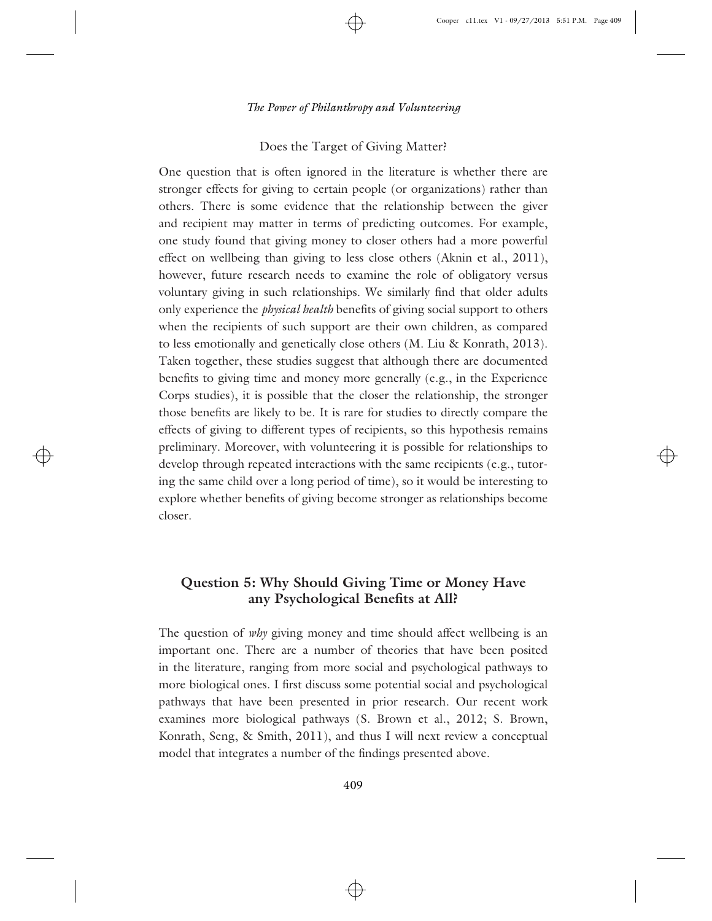#### Does the Target of Giving Matter?

One question that is often ignored in the literature is whether there are stronger effects for giving to certain people (or organizations) rather than others. There is some evidence that the relationship between the giver and recipient may matter in terms of predicting outcomes. For example, one study found that giving money to closer others had a more powerful effect on wellbeing than giving to less close others (Aknin et al., 2011), however, future research needs to examine the role of obligatory versus voluntary giving in such relationships. We similarly find that older adults only experience the *physical health* benefits of giving social support to others when the recipients of such support are their own children, as compared to less emotionally and genetically close others (M. Liu & Konrath, 2013). Taken together, these studies suggest that although there are documented benefits to giving time and money more generally (e.g., in the Experience Corps studies), it is possible that the closer the relationship, the stronger those benefits are likely to be. It is rare for studies to directly compare the effects of giving to different types of recipients, so this hypothesis remains preliminary. Moreover, with volunteering it is possible for relationships to develop through repeated interactions with the same recipients (e.g., tutoring the same child over a long period of time), so it would be interesting to explore whether benefits of giving become stronger as relationships become closer.

# **Question 5: Why Should Giving Time or Money Have any Psychological Benefits at All?**

The question of *why* giving money and time should affect wellbeing is an important one. There are a number of theories that have been posited in the literature, ranging from more social and psychological pathways to more biological ones. I first discuss some potential social and psychological pathways that have been presented in prior research. Our recent work examines more biological pathways (S. Brown et al., 2012; S. Brown, Konrath, Seng, & Smith, 2011), and thus I will next review a conceptual model that integrates a number of the findings presented above.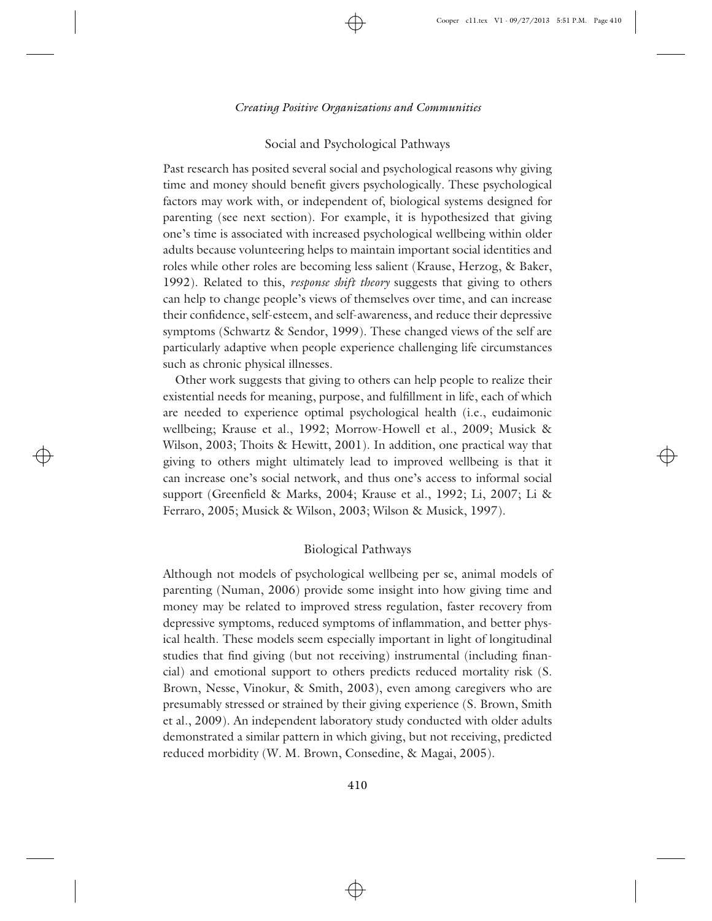#### Social and Psychological Pathways

Past research has posited several social and psychological reasons why giving time and money should benefit givers psychologically. These psychological factors may work with, or independent of, biological systems designed for parenting (see next section). For example, it is hypothesized that giving one's time is associated with increased psychological wellbeing within older adults because volunteering helps to maintain important social identities and roles while other roles are becoming less salient (Krause, Herzog, & Baker, 1992). Related to this, *response shift theory* suggests that giving to others can help to change people's views of themselves over time, and can increase their confidence, self-esteem, and self-awareness, and reduce their depressive symptoms (Schwartz & Sendor, 1999). These changed views of the self are particularly adaptive when people experience challenging life circumstances such as chronic physical illnesses.

Other work suggests that giving to others can help people to realize their existential needs for meaning, purpose, and fulfillment in life, each of which are needed to experience optimal psychological health (i.e., eudaimonic wellbeing; Krause et al., 1992; Morrow-Howell et al., 2009; Musick & Wilson, 2003; Thoits & Hewitt, 2001). In addition, one practical way that giving to others might ultimately lead to improved wellbeing is that it can increase one's social network, and thus one's access to informal social support (Greenfield & Marks, 2004; Krause et al., 1992; Li, 2007; Li & Ferraro, 2005; Musick & Wilson, 2003; Wilson & Musick, 1997).

# Biological Pathways

Although not models of psychological wellbeing per se, animal models of parenting (Numan, 2006) provide some insight into how giving time and money may be related to improved stress regulation, faster recovery from depressive symptoms, reduced symptoms of inflammation, and better physical health. These models seem especially important in light of longitudinal studies that find giving (but not receiving) instrumental (including financial) and emotional support to others predicts reduced mortality risk (S. Brown, Nesse, Vinokur, & Smith, 2003), even among caregivers who are presumably stressed or strained by their giving experience (S. Brown, Smith et al., 2009). An independent laboratory study conducted with older adults demonstrated a similar pattern in which giving, but not receiving, predicted reduced morbidity (W. M. Brown, Consedine, & Magai, 2005).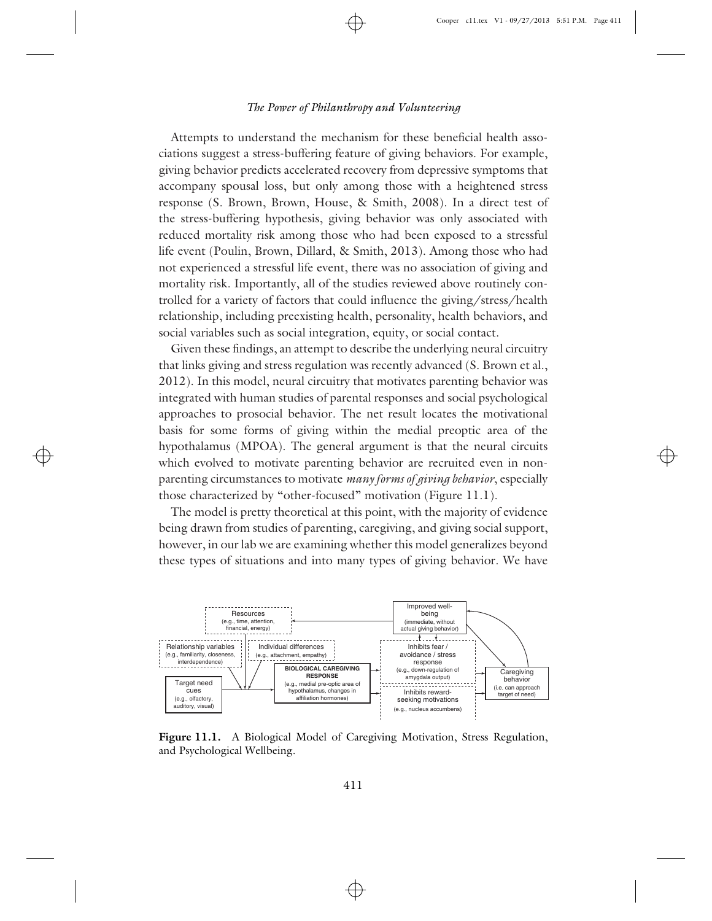Attempts to understand the mechanism for these beneficial health associations suggest a stress-buffering feature of giving behaviors. For example, giving behavior predicts accelerated recovery from depressive symptoms that accompany spousal loss, but only among those with a heightened stress response (S. Brown, Brown, House, & Smith, 2008). In a direct test of the stress-buffering hypothesis, giving behavior was only associated with reduced mortality risk among those who had been exposed to a stressful life event (Poulin, Brown, Dillard, & Smith, 2013). Among those who had not experienced a stressful life event, there was no association of giving and mortality risk. Importantly, all of the studies reviewed above routinely controlled for a variety of factors that could influence the giving/stress/health relationship, including preexisting health, personality, health behaviors, and social variables such as social integration, equity, or social contact.

Given these findings, an attempt to describe the underlying neural circuitry that links giving and stress regulation was recently advanced (S. Brown et al., 2012). In this model, neural circuitry that motivates parenting behavior was integrated with human studies of parental responses and social psychological approaches to prosocial behavior. The net result locates the motivational basis for some forms of giving within the medial preoptic area of the hypothalamus (MPOA). The general argument is that the neural circuits which evolved to motivate parenting behavior are recruited even in nonparenting circumstances to motivate *many forms of giving behavior*, especially those characterized by "other-focused" motivation (Figure 11.1).

The model is pretty theoretical at this point, with the majority of evidence being drawn from studies of parenting, caregiving, and giving social support, however, in our lab we are examining whether this model generalizes beyond these types of situations and into many types of giving behavior. We have



**Figure 11.1.** A Biological Model of Caregiving Motivation, Stress Regulation, and Psychological Wellbeing.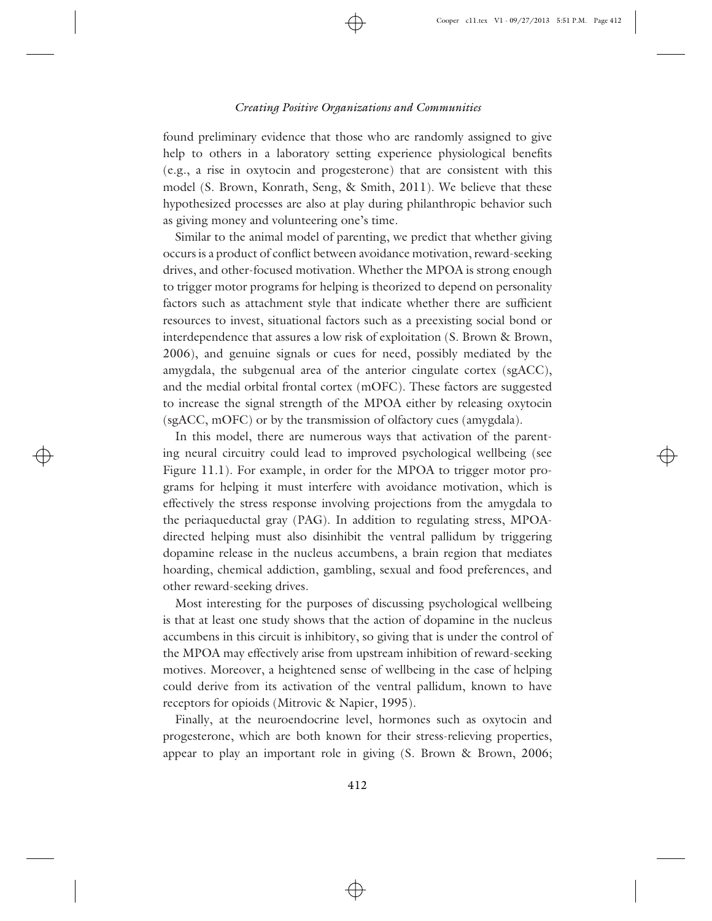found preliminary evidence that those who are randomly assigned to give help to others in a laboratory setting experience physiological benefits (e.g., a rise in oxytocin and progesterone) that are consistent with this model (S. Brown, Konrath, Seng, & Smith, 2011). We believe that these hypothesized processes are also at play during philanthropic behavior such as giving money and volunteering one's time.

Similar to the animal model of parenting, we predict that whether giving occurs is a product of conflict between avoidance motivation, reward-seeking drives, and other-focused motivation. Whether the MPOA is strong enough to trigger motor programs for helping is theorized to depend on personality factors such as attachment style that indicate whether there are sufficient resources to invest, situational factors such as a preexisting social bond or interdependence that assures a low risk of exploitation (S. Brown & Brown, 2006), and genuine signals or cues for need, possibly mediated by the amygdala, the subgenual area of the anterior cingulate cortex (sgACC), and the medial orbital frontal cortex (mOFC). These factors are suggested to increase the signal strength of the MPOA either by releasing oxytocin (sgACC, mOFC) or by the transmission of olfactory cues (amygdala).

In this model, there are numerous ways that activation of the parenting neural circuitry could lead to improved psychological wellbeing (see Figure 11.1). For example, in order for the MPOA to trigger motor programs for helping it must interfere with avoidance motivation, which is effectively the stress response involving projections from the amygdala to the periaqueductal gray (PAG). In addition to regulating stress, MPOAdirected helping must also disinhibit the ventral pallidum by triggering dopamine release in the nucleus accumbens, a brain region that mediates hoarding, chemical addiction, gambling, sexual and food preferences, and other reward-seeking drives.

Most interesting for the purposes of discussing psychological wellbeing is that at least one study shows that the action of dopamine in the nucleus accumbens in this circuit is inhibitory, so giving that is under the control of the MPOA may effectively arise from upstream inhibition of reward-seeking motives. Moreover, a heightened sense of wellbeing in the case of helping could derive from its activation of the ventral pallidum, known to have receptors for opioids (Mitrovic & Napier, 1995).

Finally, at the neuroendocrine level, hormones such as oxytocin and progesterone, which are both known for their stress-relieving properties, appear to play an important role in giving (S. Brown & Brown, 2006;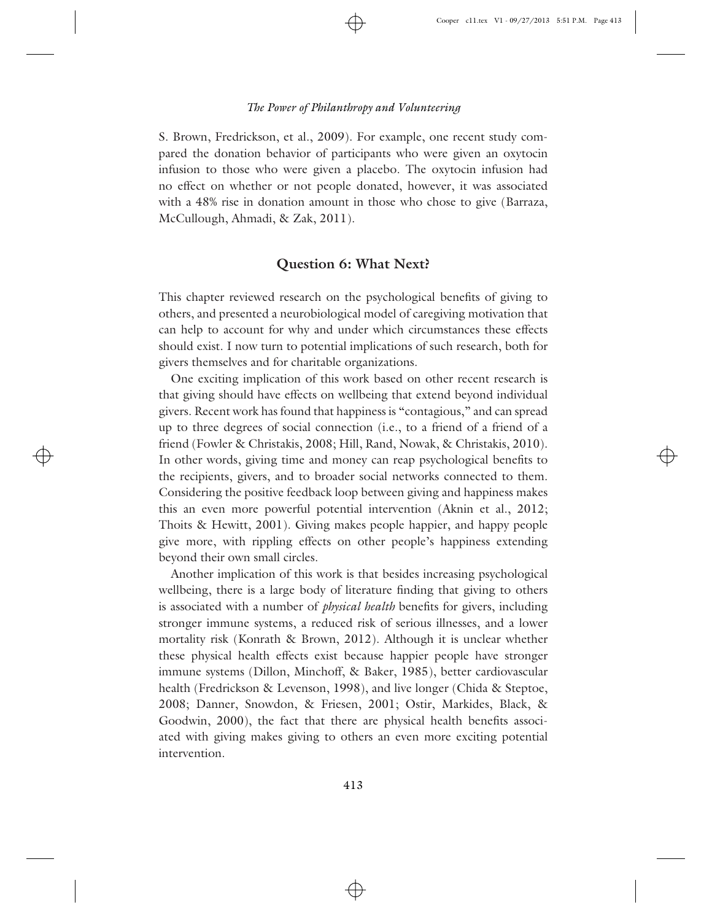S. Brown, Fredrickson, et al., 2009). For example, one recent study compared the donation behavior of participants who were given an oxytocin infusion to those who were given a placebo. The oxytocin infusion had no effect on whether or not people donated, however, it was associated with a 48% rise in donation amount in those who chose to give (Barraza, McCullough, Ahmadi, & Zak, 2011).

# **Question 6: What Next?**

This chapter reviewed research on the psychological benefits of giving to others, and presented a neurobiological model of caregiving motivation that can help to account for why and under which circumstances these effects should exist. I now turn to potential implications of such research, both for givers themselves and for charitable organizations.

One exciting implication of this work based on other recent research is that giving should have effects on wellbeing that extend beyond individual givers. Recent work has found that happiness is "contagious," and can spread up to three degrees of social connection (i.e., to a friend of a friend of a friend (Fowler & Christakis, 2008; Hill, Rand, Nowak, & Christakis, 2010). In other words, giving time and money can reap psychological benefits to the recipients, givers, and to broader social networks connected to them. Considering the positive feedback loop between giving and happiness makes this an even more powerful potential intervention (Aknin et al., 2012; Thoits & Hewitt, 2001). Giving makes people happier, and happy people give more, with rippling effects on other people's happiness extending beyond their own small circles.

Another implication of this work is that besides increasing psychological wellbeing, there is a large body of literature finding that giving to others is associated with a number of *physical health* benefits for givers, including stronger immune systems, a reduced risk of serious illnesses, and a lower mortality risk (Konrath & Brown, 2012). Although it is unclear whether these physical health effects exist because happier people have stronger immune systems (Dillon, Minchoff, & Baker, 1985), better cardiovascular health (Fredrickson & Levenson, 1998), and live longer (Chida & Steptoe, 2008; Danner, Snowdon, & Friesen, 2001; Ostir, Markides, Black, & Goodwin, 2000), the fact that there are physical health benefits associated with giving makes giving to others an even more exciting potential intervention.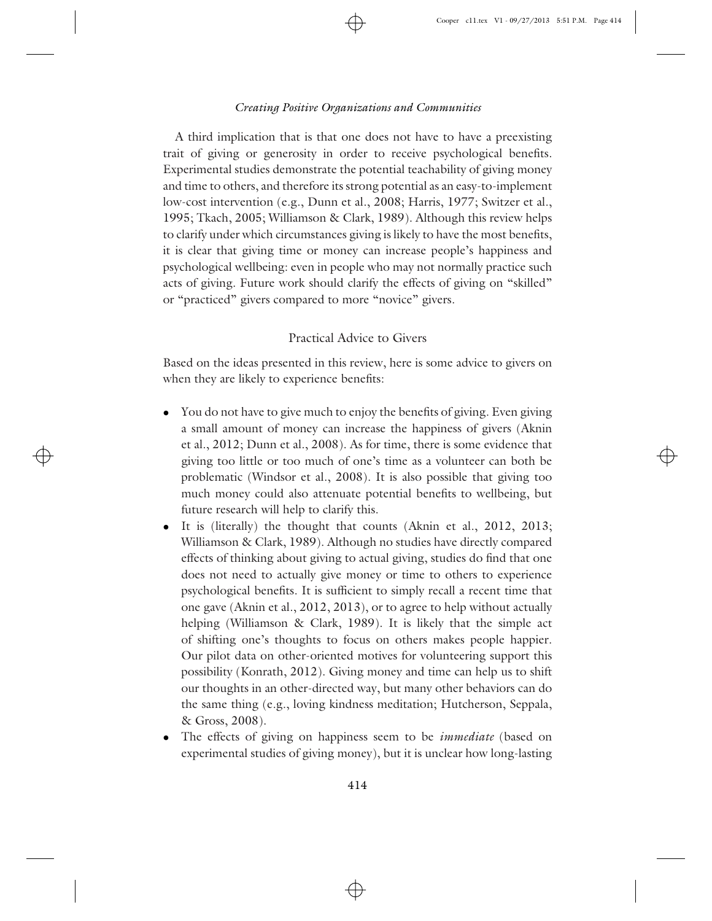A third implication that is that one does not have to have a preexisting trait of giving or generosity in order to receive psychological benefits. Experimental studies demonstrate the potential teachability of giving money and time to others, and therefore its strong potential as an easy-to-implement low-cost intervention (e.g., Dunn et al., 2008; Harris, 1977; Switzer et al., 1995; Tkach, 2005; Williamson & Clark, 1989). Although this review helps to clarify under which circumstances giving is likely to have the most benefits, it is clear that giving time or money can increase people's happiness and psychological wellbeing: even in people who may not normally practice such acts of giving. Future work should clarify the effects of giving on "skilled" or "practiced" givers compared to more "novice" givers.

# Practical Advice to Givers

Based on the ideas presented in this review, here is some advice to givers on when they are likely to experience benefits:

- You do not have to give much to enjoy the benefits of giving. Even giving a small amount of money can increase the happiness of givers (Aknin et al., 2012; Dunn et al., 2008). As for time, there is some evidence that giving too little or too much of one's time as a volunteer can both be problematic (Windsor et al., 2008). It is also possible that giving too much money could also attenuate potential benefits to wellbeing, but future research will help to clarify this.
- It is (literally) the thought that counts (Aknin et al., 2012, 2013; Williamson & Clark, 1989). Although no studies have directly compared effects of thinking about giving to actual giving, studies do find that one does not need to actually give money or time to others to experience psychological benefits. It is sufficient to simply recall a recent time that one gave (Aknin et al., 2012, 2013), or to agree to help without actually helping (Williamson & Clark, 1989). It is likely that the simple act of shifting one's thoughts to focus on others makes people happier. Our pilot data on other-oriented motives for volunteering support this possibility (Konrath, 2012). Giving money and time can help us to shift our thoughts in an other-directed way, but many other behaviors can do the same thing (e.g., loving kindness meditation; Hutcherson, Seppala, & Gross, 2008).
- The effects of giving on happiness seem to be *immediate* (based on experimental studies of giving money), but it is unclear how long-lasting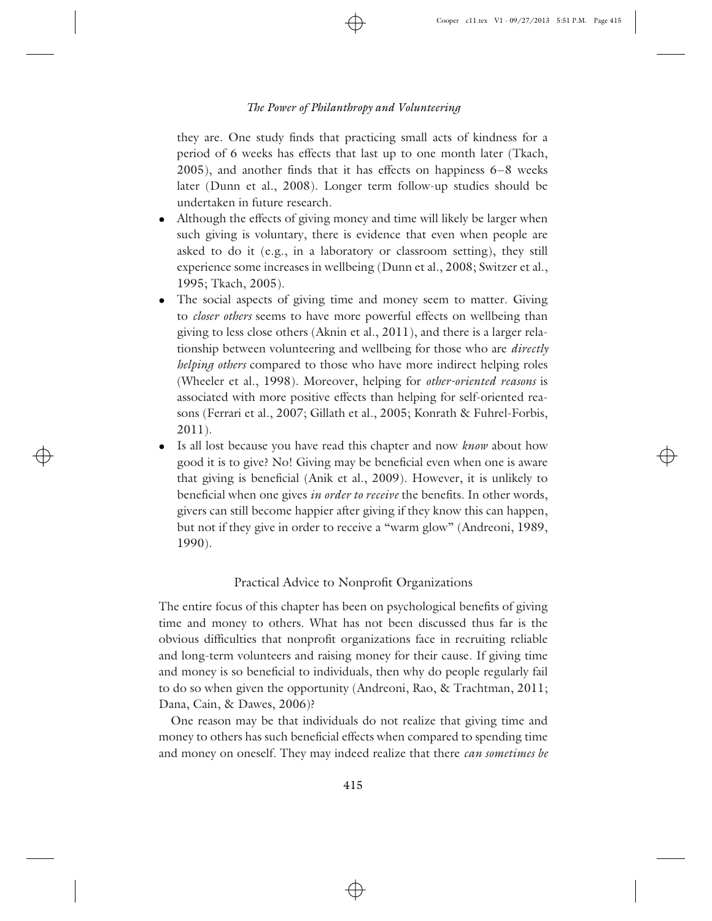they are. One study finds that practicing small acts of kindness for a period of 6 weeks has effects that last up to one month later (Tkach, 2005), and another finds that it has effects on happiness 6–8 weeks later (Dunn et al., 2008). Longer term follow-up studies should be undertaken in future research.

- Although the effects of giving money and time will likely be larger when such giving is voluntary, there is evidence that even when people are asked to do it (e.g., in a laboratory or classroom setting), they still experience some increases in wellbeing (Dunn et al., 2008; Switzer et al., 1995; Tkach, 2005).
- The social aspects of giving time and money seem to matter. Giving to *closer others* seems to have more powerful effects on wellbeing than giving to less close others (Aknin et al., 2011), and there is a larger relationship between volunteering and wellbeing for those who are *directly helping others* compared to those who have more indirect helping roles (Wheeler et al., 1998). Moreover, helping for *other-oriented reasons* is associated with more positive effects than helping for self-oriented reasons (Ferrari et al., 2007; Gillath et al., 2005; Konrath & Fuhrel-Forbis, 2011).
- Is all lost because you have read this chapter and now *know* about how good it is to give? No! Giving may be beneficial even when one is aware that giving is beneficial (Anik et al., 2009). However, it is unlikely to beneficial when one gives *in order to receive* the benefits. In other words, givers can still become happier after giving if they know this can happen, but not if they give in order to receive a "warm glow" (Andreoni, 1989, 1990).

#### Practical Advice to Nonprofit Organizations

The entire focus of this chapter has been on psychological benefits of giving time and money to others. What has not been discussed thus far is the obvious difficulties that nonprofit organizations face in recruiting reliable and long-term volunteers and raising money for their cause. If giving time and money is so beneficial to individuals, then why do people regularly fail to do so when given the opportunity (Andreoni, Rao, & Trachtman, 2011; Dana, Cain, & Dawes, 2006)?

One reason may be that individuals do not realize that giving time and money to others has such beneficial effects when compared to spending time and money on oneself. They may indeed realize that there *can sometimes be*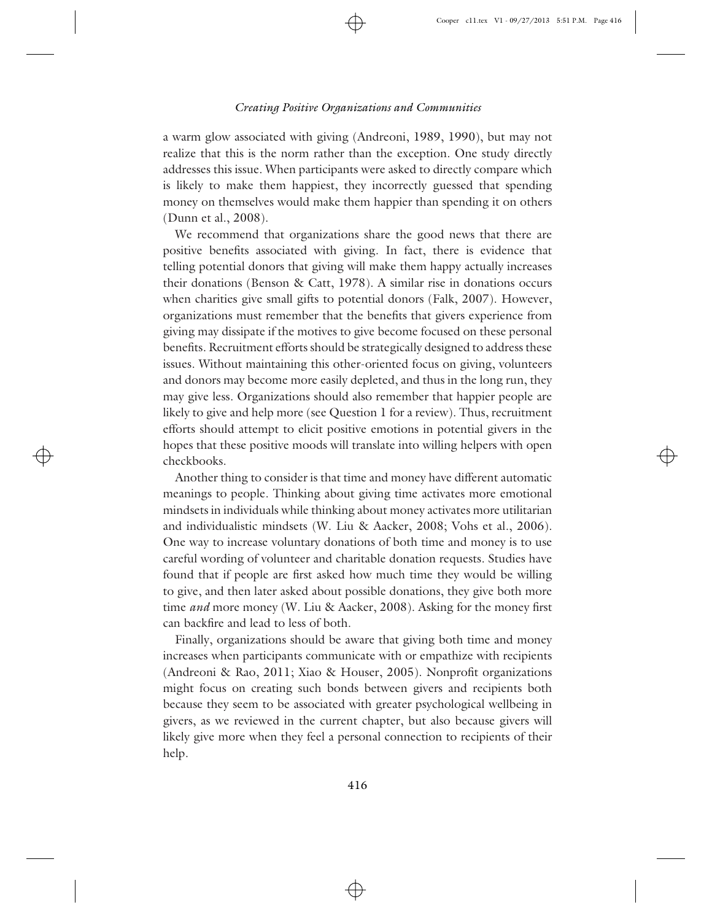a warm glow associated with giving (Andreoni, 1989, 1990), but may not realize that this is the norm rather than the exception. One study directly addresses this issue. When participants were asked to directly compare which is likely to make them happiest, they incorrectly guessed that spending money on themselves would make them happier than spending it on others (Dunn et al., 2008).

We recommend that organizations share the good news that there are positive benefits associated with giving. In fact, there is evidence that telling potential donors that giving will make them happy actually increases their donations (Benson & Catt, 1978). A similar rise in donations occurs when charities give small gifts to potential donors (Falk, 2007). However, organizations must remember that the benefits that givers experience from giving may dissipate if the motives to give become focused on these personal benefits. Recruitment efforts should be strategically designed to address these issues. Without maintaining this other-oriented focus on giving, volunteers and donors may become more easily depleted, and thus in the long run, they may give less. Organizations should also remember that happier people are likely to give and help more (see Question 1 for a review). Thus, recruitment efforts should attempt to elicit positive emotions in potential givers in the hopes that these positive moods will translate into willing helpers with open checkbooks.

Another thing to consider is that time and money have different automatic meanings to people. Thinking about giving time activates more emotional mindsets in individuals while thinking about money activates more utilitarian and individualistic mindsets (W. Liu & Aacker, 2008; Vohs et al., 2006). One way to increase voluntary donations of both time and money is to use careful wording of volunteer and charitable donation requests. Studies have found that if people are first asked how much time they would be willing to give, and then later asked about possible donations, they give both more time *and* more money (W. Liu & Aacker, 2008). Asking for the money first can backfire and lead to less of both.

Finally, organizations should be aware that giving both time and money increases when participants communicate with or empathize with recipients (Andreoni & Rao, 2011; Xiao & Houser, 2005). Nonprofit organizations might focus on creating such bonds between givers and recipients both because they seem to be associated with greater psychological wellbeing in givers, as we reviewed in the current chapter, but also because givers will likely give more when they feel a personal connection to recipients of their help.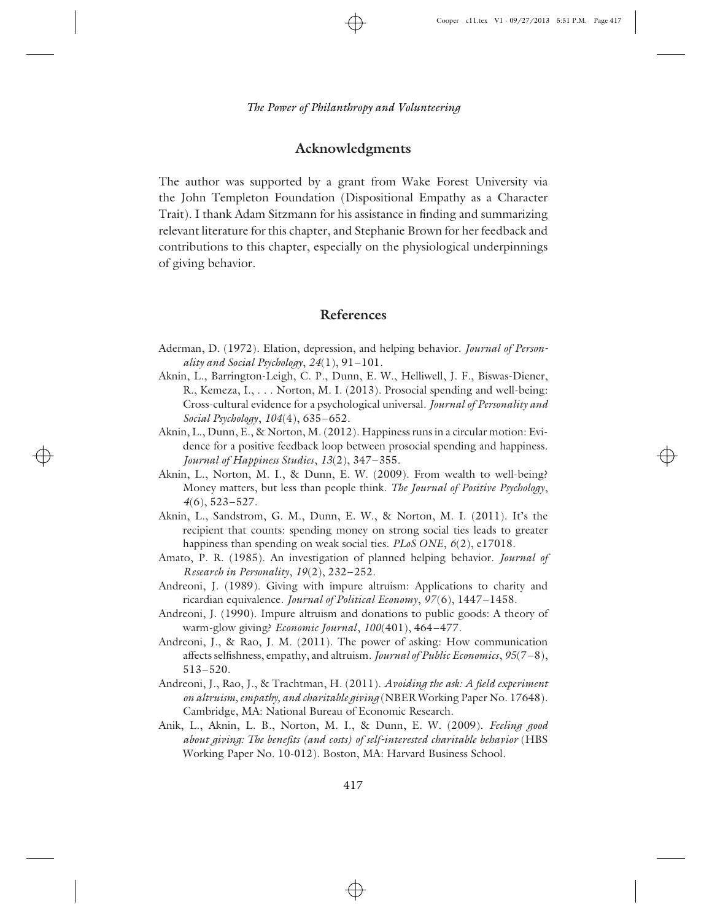# **Acknowledgments**

The author was supported by a grant from Wake Forest University via the John Templeton Foundation (Dispositional Empathy as a Character Trait). I thank Adam Sitzmann for his assistance in finding and summarizing relevant literature for this chapter, and Stephanie Brown for her feedback and contributions to this chapter, especially on the physiological underpinnings of giving behavior.

# **References**

- Aderman, D. (1972). Elation, depression, and helping behavior. *Journal of Personality and Social Psychology*, *24*(1), 91–101.
- Aknin, L., Barrington-Leigh, C. P., Dunn, E. W., Helliwell, J. F., Biswas-Diener, R., Kemeza, I., . . . Norton, M. I. (2013). Prosocial spending and well-being: Cross-cultural evidence for a psychological universal. *Journal of Personality and Social Psychology*, *104*(4), 635–652.
- Aknin, L., Dunn, E., & Norton, M. (2012). Happiness runs in a circular motion: Evidence for a positive feedback loop between prosocial spending and happiness. *Journal of Happiness Studies*, *13*(2), 347–355.
- Aknin, L., Norton, M. I., & Dunn, E. W. (2009). From wealth to well-being? Money matters, but less than people think. *The Journal of Positive Psychology*, *4*(6), 523–527.
- Aknin, L., Sandstrom, G. M., Dunn, E. W., & Norton, M. I. (2011). It's the recipient that counts: spending money on strong social ties leads to greater happiness than spending on weak social ties. *PLoS ONE*, *6*(2), e17018.
- Amato, P. R. (1985). An investigation of planned helping behavior. *Journal of Research in Personality*, *19*(2), 232–252.
- Andreoni, J. (1989). Giving with impure altruism: Applications to charity and ricardian equivalence. *Journal of Political Economy*, *97* (6), 1447–1458.
- Andreoni, J. (1990). Impure altruism and donations to public goods: A theory of warm-glow giving? *Economic Journal*, *100*(401), 464–477.
- Andreoni, J., & Rao, J. M. (2011). The power of asking: How communication affects selfishness, empathy, and altruism. *Journal of Public Economics*, *95*(7–8), 513–520.
- Andreoni, J., Rao, J., & Trachtman, H. (2011). *Avoiding the ask: A field experiment on altruism, empathy, and charitable giving* (NBER Working Paper No. 17648). Cambridge, MA: National Bureau of Economic Research.
- Anik, L., Aknin, L. B., Norton, M. I., & Dunn, E. W. (2009). *Feeling good about giving: The benefits (and costs) of self-interested charitable behavior* (HBS Working Paper No. 10-012). Boston, MA: Harvard Business School.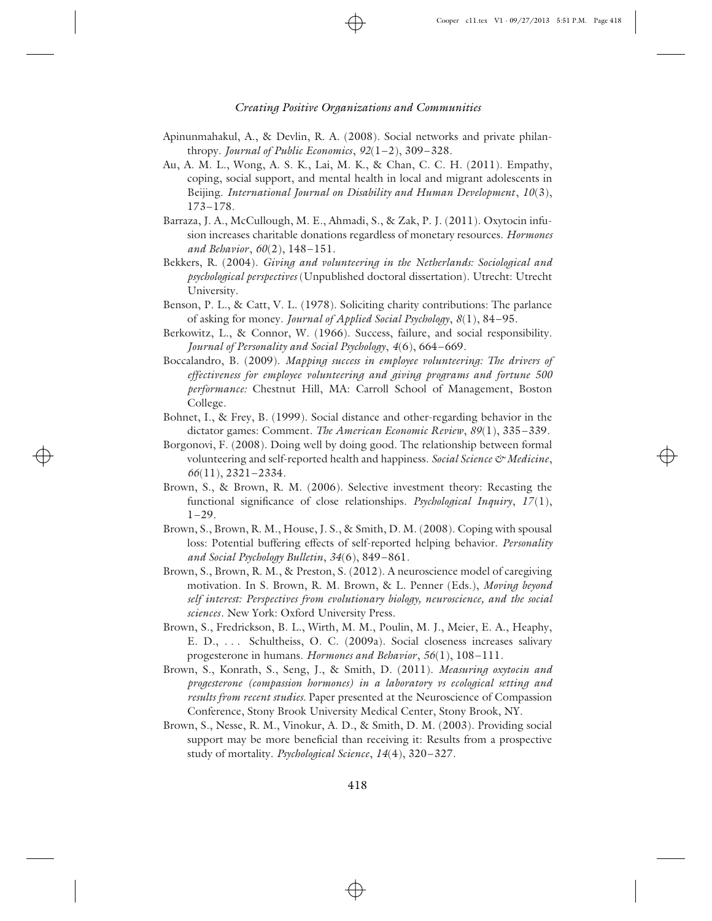- Apinunmahakul, A., & Devlin, R. A. (2008). Social networks and private philanthropy. *Journal of Public Economics*, *92*(1–2), 309–328.
- Au, A. M. L., Wong, A. S. K., Lai, M. K., & Chan, C. C. H. (2011). Empathy, coping, social support, and mental health in local and migrant adolescents in Beijing. *International Journal on Disability and Human Development*, *10*(3), 173–178.
- Barraza, J. A., McCullough, M. E., Ahmadi, S., & Zak, P. J. (2011). Oxytocin infusion increases charitable donations regardless of monetary resources. *Hormones and Behavior*, *60*(2), 148–151.
- Bekkers, R. (2004). *Giving and volunteering in the Netherlands: Sociological and psychological perspectives* (Unpublished doctoral dissertation). Utrecht: Utrecht University.
- Benson, P. L., & Catt, V. L. (1978). Soliciting charity contributions: The parlance of asking for money. *Journal of Applied Social Psychology*, *8*(1), 84–95.
- Berkowitz, L., & Connor, W. (1966). Success, failure, and social responsibility. *Journal of Personality and Social Psychology*, *4*(6), 664–669.
- Boccalandro, B. (2009). *Mapping success in employee volunteering: The drivers of effectiveness for employee volunteering and giving programs and fortune 500 performance:* Chestnut Hill, MA: Carroll School of Management, Boston College.
- Bohnet, I., & Frey, B. (1999). Social distance and other-regarding behavior in the dictator games: Comment. *The American Economic Review*, *89*(1), 335–339.
- Borgonovi, F. (2008). Doing well by doing good. The relationship between formal volunteering and self-reported health and happiness. *Social Science & Medicine*, *66*(11), 2321–2334.
- Brown, S., & Brown, R. M. (2006). Selective investment theory: Recasting the functional significance of close relationships. Psychological Inquiry, 17(1), 1–29.
- Brown, S., Brown, R. M., House, J. S., & Smith, D. M. (2008). Coping with spousal loss: Potential buffering effects of self-reported helping behavior. *Personality and Social Psychology Bulletin*, *34*(6), 849–861.
- Brown, S., Brown, R. M., & Preston, S. (2012). A neuroscience model of caregiving motivation. In S. Brown, R. M. Brown, & L. Penner (Eds.), *Moving beyond self interest: Perspectives from evolutionary biology, neuroscience, and the social sciences*. New York: Oxford University Press.
- Brown, S., Fredrickson, B. L., Wirth, M. M., Poulin, M. J., Meier, E. A., Heaphy, E. D., . . . Schultheiss, O. C. (2009a). Social closeness increases salivary progesterone in humans. *Hormones and Behavior*, *56*(1), 108–111.
- Brown, S., Konrath, S., Seng, J., & Smith, D. (2011). *Measuring oxytocin and progesterone (compassion hormones) in a laboratory vs ecological setting and results from recent studies.* Paper presented at the Neuroscience of Compassion Conference, Stony Brook University Medical Center, Stony Brook, NY.
- Brown, S., Nesse, R. M., Vinokur, A. D., & Smith, D. M. (2003). Providing social support may be more beneficial than receiving it: Results from a prospective study of mortality. *Psychological Science*, *14*(4), 320–327.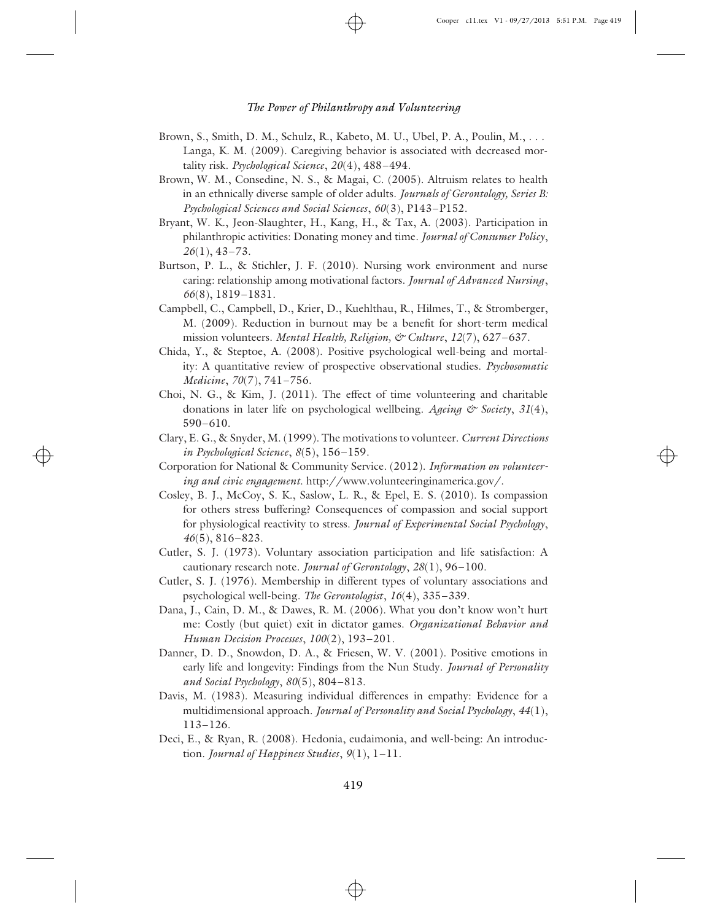- Brown, S., Smith, D. M., Schulz, R., Kabeto, M. U., Ubel, P. A., Poulin, M., . . . Langa, K. M. (2009). Caregiving behavior is associated with decreased mortality risk. *Psychological Science*, *20*(4), 488–494.
- Brown, W. M., Consedine, N. S., & Magai, C. (2005). Altruism relates to health in an ethnically diverse sample of older adults. *Journals of Gerontology, Series B: Psychological Sciences and Social Sciences*, *60*(3), P143–P152.
- Bryant, W. K., Jeon-Slaughter, H., Kang, H., & Tax, A. (2003). Participation in philanthropic activities: Donating money and time. *Journal of Consumer Policy*, *26*(1), 43–73.
- Burtson, P. L., & Stichler, J. F. (2010). Nursing work environment and nurse caring: relationship among motivational factors. *Journal of Advanced Nursing*, *66*(8), 1819–1831.
- Campbell, C., Campbell, D., Krier, D., Kuehlthau, R., Hilmes, T., & Stromberger, M. (2009). Reduction in burnout may be a benefit for short-term medical mission volunteers. *Mental Health, Religion, & Culture*, *12*(7), 627–637.
- Chida, Y., & Steptoe, A. (2008). Positive psychological well-being and mortality: A quantitative review of prospective observational studies. *Psychosomatic Medicine*, *70*(7), 741–756.
- Choi, N. G., & Kim, J. (2011). The effect of time volunteering and charitable donations in later life on psychological wellbeing. *Ageing & Society*, *31*(4), 590–610.
- Clary, E. G., & Snyder, M. (1999). The motivations to volunteer. *Current Directions in Psychological Science*, *8*(5), 156–159.
- Corporation for National & Community Service. (2012). *Information on volunteering and civic engagement*. http://www.volunteeringinamerica.gov/.
- Cosley, B. J., McCoy, S. K., Saslow, L. R., & Epel, E. S. (2010). Is compassion for others stress buffering? Consequences of compassion and social support for physiological reactivity to stress. *Journal of Experimental Social Psychology*, *46*(5), 816–823.
- Cutler, S. J. (1973). Voluntary association participation and life satisfaction: A cautionary research note. *Journal of Gerontology*, *28*(1), 96–100.
- Cutler, S. J. (1976). Membership in different types of voluntary associations and psychological well-being. *The Gerontologist*, *16*(4), 335–339.
- Dana, J., Cain, D. M., & Dawes, R. M. (2006). What you don't know won't hurt me: Costly (but quiet) exit in dictator games. *Organizational Behavior and Human Decision Processes*, *100*(2), 193–201.
- Danner, D. D., Snowdon, D. A., & Friesen, W. V. (2001). Positive emotions in early life and longevity: Findings from the Nun Study. *Journal of Personality and Social Psychology*, *80*(5), 804–813.
- Davis, M. (1983). Measuring individual differences in empathy: Evidence for a multidimensional approach. *Journal of Personality and Social Psychology*, *44*(1), 113–126.
- Deci, E., & Ryan, R. (2008). Hedonia, eudaimonia, and well-being: An introduction. *Journal of Happiness Studies*, *9*(1), 1–11.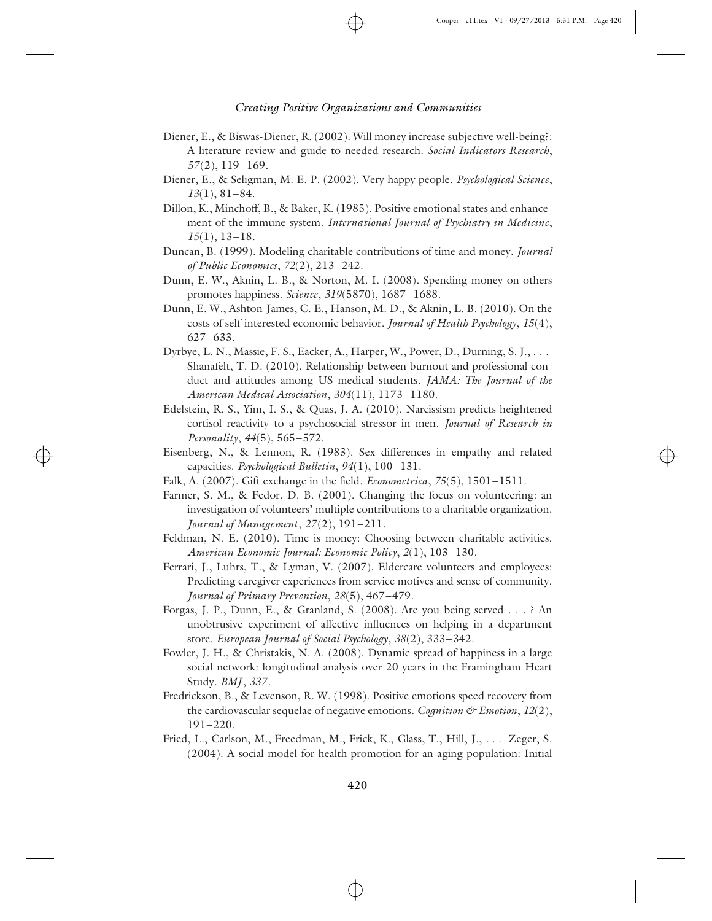- Diener, E., & Biswas-Diener, R. (2002). Will money increase subjective well-being?: A literature review and guide to needed research. *Social Indicators Research*, *57* (2), 119–169.
- Diener, E., & Seligman, M. E. P. (2002). Very happy people. *Psychological Science*, *13*(1), 81–84.
- Dillon, K., Minchoff, B., & Baker, K. (1985). Positive emotional states and enhancement of the immune system. *International Journal of Psychiatry in Medicine*, *15*(1), 13–18.
- Duncan, B. (1999). Modeling charitable contributions of time and money. *Journal of Public Economics*, *72*(2), 213–242.
- Dunn, E. W., Aknin, L. B., & Norton, M. I. (2008). Spending money on others promotes happiness. *Science*, *319*(5870), 1687–1688.
- Dunn, E. W., Ashton-James, C. E., Hanson, M. D., & Aknin, L. B. (2010). On the costs of self-interested economic behavior. *Journal of Health Psychology*, *15*(4), 627–633.
- Dyrbye, L. N., Massie, F. S., Eacker, A., Harper, W., Power, D., Durning, S. J., . . . Shanafelt, T. D. (2010). Relationship between burnout and professional conduct and attitudes among US medical students. *JAMA: The Journal of the American Medical Association*, *304*(11), 1173–1180.
- Edelstein, R. S., Yim, I. S., & Quas, J. A. (2010). Narcissism predicts heightened cortisol reactivity to a psychosocial stressor in men. *Journal of Research in Personality*, *44*(5), 565–572.
- Eisenberg, N., & Lennon, R. (1983). Sex differences in empathy and related capacities. *Psychological Bulletin*, *94*(1), 100–131.
- Falk, A. (2007). Gift exchange in the field. *Econometrica*, *75*(5), 1501–1511.
- Farmer, S. M., & Fedor, D. B. (2001). Changing the focus on volunteering: an investigation of volunteers' multiple contributions to a charitable organization. *Journal of Management*, *27* (2), 191–211.
- Feldman, N. E. (2010). Time is money: Choosing between charitable activities. *American Economic Journal: Economic Policy*, *2*(1), 103–130.
- Ferrari, J., Luhrs, T., & Lyman, V. (2007). Eldercare volunteers and employees: Predicting caregiver experiences from service motives and sense of community. *Journal of Primary Prevention*, *28*(5), 467–479.
- Forgas, J. P., Dunn, E., & Granland, S. (2008). Are you being served . . . ? An unobtrusive experiment of affective influences on helping in a department store. *European Journal of Social Psychology*, *38*(2), 333–342.
- Fowler, J. H., & Christakis, N. A. (2008). Dynamic spread of happiness in a large social network: longitudinal analysis over 20 years in the Framingham Heart Study. *BMJ* , *337* .
- Fredrickson, B., & Levenson, R. W. (1998). Positive emotions speed recovery from the cardiovascular sequelae of negative emotions. *Cognition & Emotion*, *12*(2), 191–220.
- Fried, L., Carlson, M., Freedman, M., Frick, K., Glass, T., Hill, J., . . . Zeger, S. (2004). A social model for health promotion for an aging population: Initial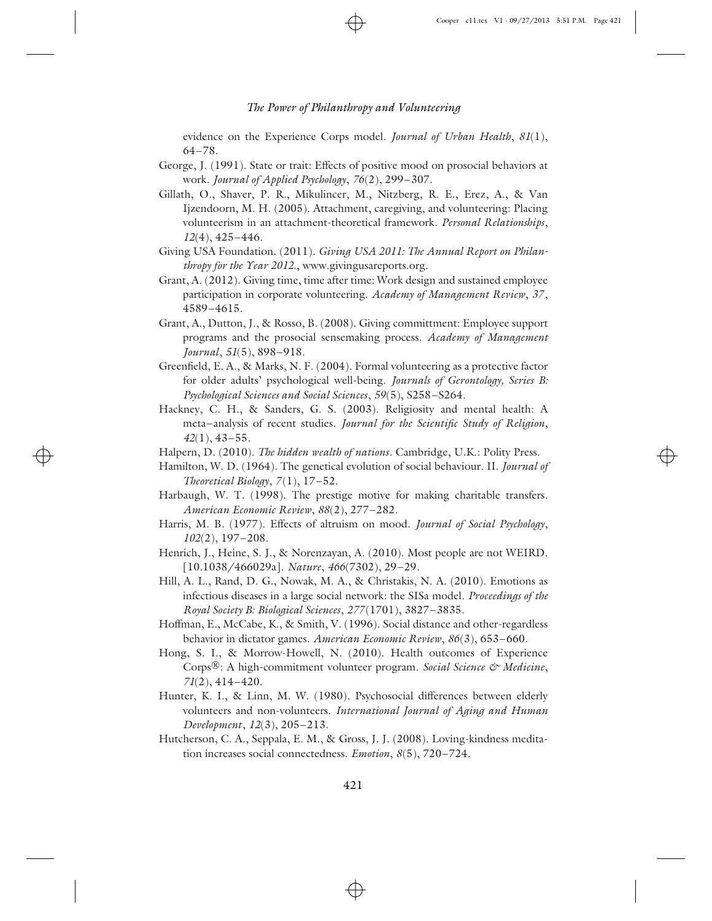evidence on the Experience Corps model. *Journal of Urban Health*, *81*(1), 64–78.

- George, J. (1991). State or trait: Effects of positive mood on prosocial behaviors at work. *Journal of Applied Psychology*, *76*(2), 299–307.
- Gillath, O., Shaver, P. R., Mikulincer, M., Nitzberg, R. E., Erez, A., & Van Ijzendoorn, M. H. (2005). Attachment, caregiving, and volunteering: Placing volunteerism in an attachment-theoretical framework. *Personal Relationships*, *12*(4), 425–446.
- Giving USA Foundation. (2011). *Giving USA 2011: The Annual Report on Philanthropy for the Year 2012*., www.givingusareports.org.
- Grant, A. (2012). Giving time, time after time: Work design and sustained employee participation in corporate volunteering. *Academy of Management Review*, *37* , 4589–4615.
- Grant, A., Dutton, J., & Rosso, B. (2008). Giving committment: Employee support programs and the prosocial sensemaking process. *Academy of Management Journal*, *51*(5), 898–918.
- Greenfield, E. A., & Marks, N. F. (2004). Formal volunteering as a protective factor for older adults' psychological well-being. *Journals of Gerontology, Series B: Psychological Sciences and Social Sciences*, *59*(5), S258–S264.
- Hackney, C. H., & Sanders, G. S. (2003). Religiosity and mental health: A meta–analysis of recent studies. *Journal for the Scientific Study of Religion*, *42*(1), 43–55.
- Halpern, D. (2010). *The hidden wealth of nations*. Cambridge, U.K.: Polity Press.
- Hamilton, W. D. (1964). The genetical evolution of social behaviour. II. *Journal of Theoretical Biology*,  $7(1)$ ,  $17-52$ .
- Harbaugh, W. T. (1998). The prestige motive for making charitable transfers. *American Economic Review*, *88*(2), 277–282.
- Harris, M. B. (1977). Effects of altruism on mood. *Journal of Social Psychology*, *102*(2), 197–208.
- Henrich, J., Heine, S. J., & Norenzayan, A. (2010). Most people are not WEIRD. [10.1038/466029a]. *Nature*, *466*(7302), 29–29.
- Hill, A. L., Rand, D. G., Nowak, M. A., & Christakis, N. A. (2010). Emotions as infectious diseases in a large social network: the SISa model. *Proceedings of the Royal Society B: Biological Sciences*, *277* (1701), 3827–3835.
- Hoffman, E., McCabe, K., & Smith, V. (1996). Social distance and other-regardless behavior in dictator games. *American Economic Review*, *86*(3), 653–660.
- Hong, S. I., & Morrow-Howell, N. (2010). Health outcomes of Experience Corps®: A high-commitment volunteer program. *Social Science & Medicine*, *71*(2), 414–420.
- Hunter, K. I., & Linn, M. W. (1980). Psychosocial differences between elderly volunteers and non-volunteers. *International Journal of Aging and Human Development*, *12*(3), 205–213.
- Hutcherson, C. A., Seppala, E. M., & Gross, J. J. (2008). Loving-kindness meditation increases social connectedness. *Emotion*, *8*(5), 720–724.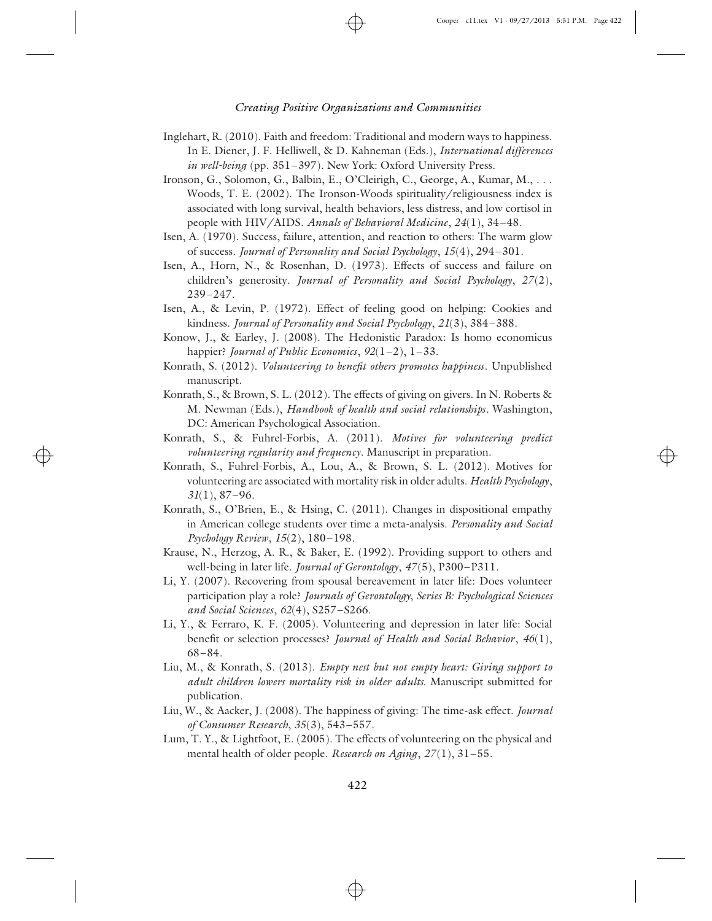- Inglehart, R. (2010). Faith and freedom: Traditional and modern ways to happiness. In E. Diener, J. F. Helliwell, & D. Kahneman (Eds.), *International differences in well-being* (pp. 351–397). New York: Oxford University Press.
- Ironson, G., Solomon, G., Balbin, E., O'Cleirigh, C., George, A., Kumar, M., . . . Woods, T. E. (2002). The Ironson-Woods spirituality/religiousness index is associated with long survival, health behaviors, less distress, and low cortisol in people with HIV/AIDS. *Annals of Behavioral Medicine*, *24*(1), 34–48.
- Isen, A. (1970). Success, failure, attention, and reaction to others: The warm glow of success. *Journal of Personality and Social Psychology*, *15*(4), 294–301.
- Isen, A., Horn, N., & Rosenhan, D. (1973). Effects of success and failure on children's generosity. *Journal of Personality and Social Psychology*, 27(2), 239–247.
- Isen, A., & Levin, P. (1972). Effect of feeling good on helping: Cookies and kindness. *Journal of Personality and Social Psychology*, *21*(3), 384–388.
- Konow, J., & Earley, J. (2008). The Hedonistic Paradox: Is homo economicus happier? *Journal of Public Economics*, *92*(1–2), 1–33.
- Konrath, S. (2012). *Volunteering to benefit others promotes happiness*. Unpublished manuscript.
- Konrath, S., & Brown, S. L. (2012). The effects of giving on givers. In N. Roberts & M. Newman (Eds.), *Handbook of health and social relationships*. Washington, DC: American Psychological Association.
- Konrath, S., & Fuhrel-Forbis, A. (2011). *Motives for volunteering predict volunteering regularity and frequency*. Manuscript in preparation.
- Konrath, S., Fuhrel-Forbis, A., Lou, A., & Brown, S. L. (2012). Motives for volunteering are associated with mortality risk in older adults. *Health Psychology*, *31*(1), 87–96.
- Konrath, S., O'Brien, E., & Hsing, C. (2011). Changes in dispositional empathy in American college students over time a meta-analysis. *Personality and Social Psychology Review*, *15*(2), 180–198.
- Krause, N., Herzog, A. R., & Baker, E. (1992). Providing support to others and well-being in later life. *Journal of Gerontology*, *47* (5), P300–P311.
- Li, Y. (2007). Recovering from spousal bereavement in later life: Does volunteer participation play a role? *Journals of Gerontology*, *Series B: Psychological Sciences and Social Sciences*, *62*(4), S257–S266.
- Li, Y., & Ferraro, K. F. (2005). Volunteering and depression in later life: Social benefit or selection processes? *Journal of Health and Social Behavior*, *46*(1), 68–84.
- Liu, M., & Konrath, S. (2013). *Empty nest but not empty heart: Giving support to adult children lowers mortality risk in older adults*. Manuscript submitted for publication.
- Liu, W., & Aacker, J. (2008). The happiness of giving: The time-ask effect. *Journal of Consumer Research*, *35*(3), 543–557.
- Lum, T. Y., & Lightfoot, E. (2005). The effects of volunteering on the physical and mental health of older people. *Research on Aging*, *27* (1), 31–55.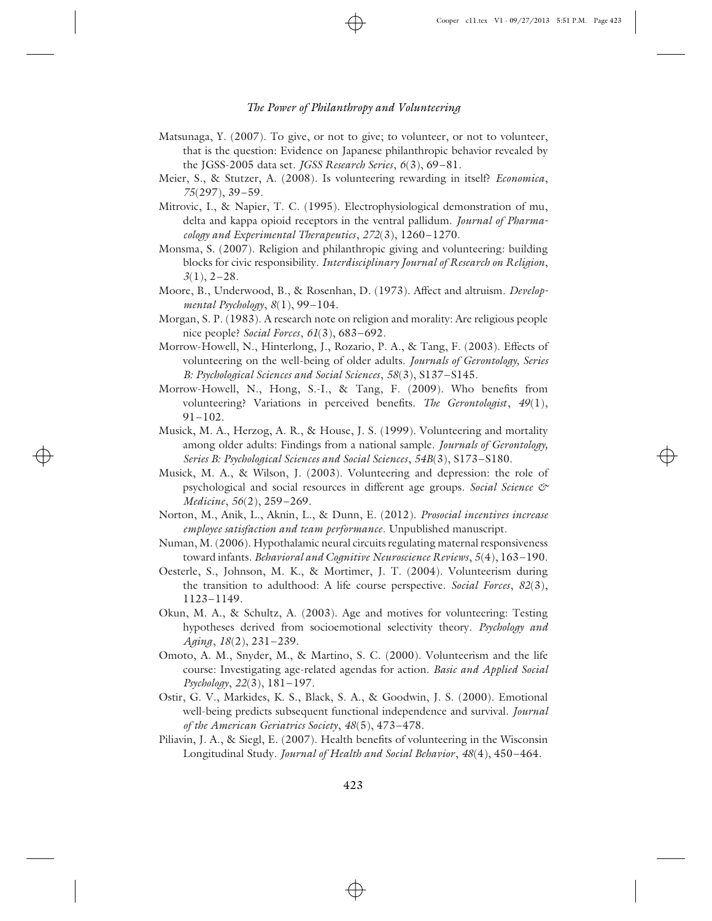- Matsunaga, Y. (2007). To give, or not to give; to volunteer, or not to volunteer, that is the question: Evidence on Japanese philanthropic behavior revealed by the JGSS-2005 data set. *JGSS Research Series*, *6*(3), 69–81.
- Meier, S., & Stutzer, A. (2008). Is volunteering rewarding in itself? *Economica*, *75*(297), 39–59.
- Mitrovic, I., & Napier, T. C. (1995). Electrophysiological demonstration of mu, delta and kappa opioid receptors in the ventral pallidum. *Journal of Pharmacology and Experimental Therapeutics*, *272*(3), 1260–1270.
- Monsma, S. (2007). Religion and philanthropic giving and volunteering: building blocks for civic responsibility. *Interdisciplinary Journal of Research on Religion*, *3*(1), 2–28.
- Moore, B., Underwood, B., & Rosenhan, D. (1973). Affect and altruism. *Developmental Psychology*, *8*(1), 99–104.
- Morgan, S. P. (1983). A research note on religion and morality: Are religious people nice people? *Social Forces*, *61*(3), 683–692.
- Morrow-Howell, N., Hinterlong, J., Rozario, P. A., & Tang, F. (2003). Effects of volunteering on the well-being of older adults. *Journals of Gerontology, Series B: Psychological Sciences and Social Sciences*, *58*(3), S137–S145.
- Morrow-Howell, N., Hong, S.-I., & Tang, F. (2009). Who benefits from volunteering? Variations in perceived benefits. *The Gerontologist*, *49*(1), 91–102.
- Musick, M. A., Herzog, A. R., & House, J. S. (1999). Volunteering and mortality among older adults: Findings from a national sample. *Journals of Gerontology, Series B: Psychological Sciences and Social Sciences*, *54B*(3), S173–S180.
- Musick, M. A., & Wilson, J. (2003). Volunteering and depression: the role of psychological and social resources in different age groups. *Social Science & Medicine*, *56*(2), 259–269.
- Norton, M., Anik, L., Aknin, L., & Dunn, E. (2012). *Prosocial incentives increase employee satisfaction and team performance*. Unpublished manuscript.
- Numan, M. (2006). Hypothalamic neural circuits regulating maternal responsiveness toward infants. *Behavioral and Cognitive Neuroscience Reviews*, *5*(4), 163–190.
- Oesterle, S., Johnson, M. K., & Mortimer, J. T. (2004). Volunteerism during the transition to adulthood: A life course perspective. *Social Forces*, *82*(3), 1123–1149.
- Okun, M. A., & Schultz, A. (2003). Age and motives for volunteering: Testing hypotheses derived from socioemotional selectivity theory. *Psychology and Aging*, *18*(2), 231–239.
- Omoto, A. M., Snyder, M., & Martino, S. C. (2000). Volunteerism and the life course: Investigating age-related agendas for action. *Basic and Applied Social Psychology*, *22*(3), 181–197.
- Ostir, G. V., Markides, K. S., Black, S. A., & Goodwin, J. S. (2000). Emotional well-being predicts subsequent functional independence and survival. *Journal of the American Geriatrics Society*, *48*(5), 473–478.
- Piliavin, J. A., & Siegl, E. (2007). Health benefits of volunteering in the Wisconsin Longitudinal Study. *Journal of Health and Social Behavior*, *48*(4), 450–464.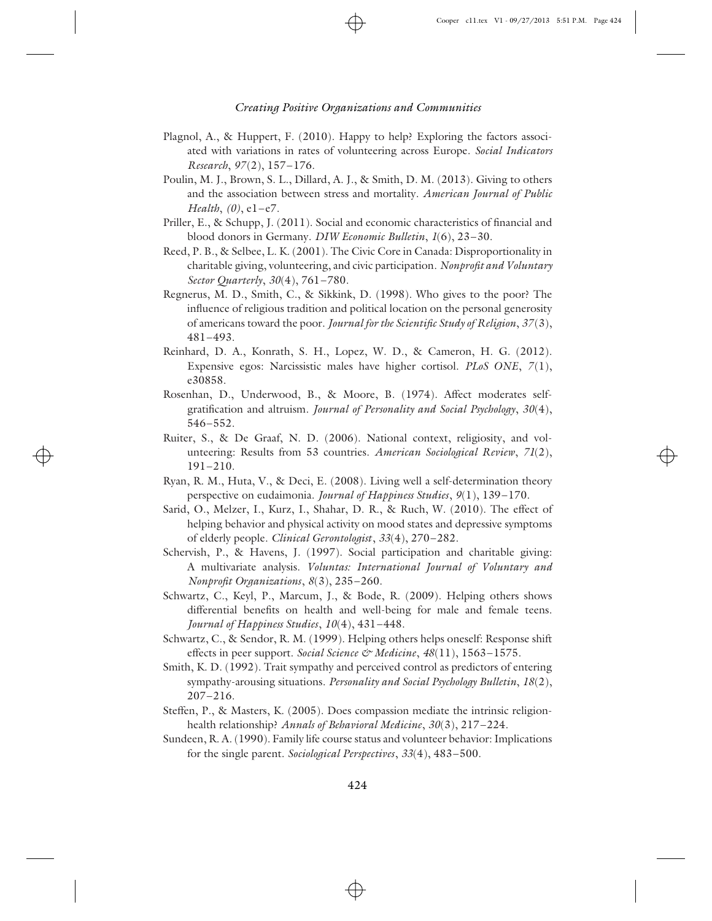- Plagnol, A., & Huppert, F. (2010). Happy to help? Exploring the factors associated with variations in rates of volunteering across Europe. *Social Indicators Research*, *97* (2), 157–176.
- Poulin, M. J., Brown, S. L., Dillard, A. J., & Smith, D. M. (2013). Giving to others and the association between stress and mortality. *American Journal of Public Health*, *(0)*, e1–e7.
- Priller, E., & Schupp, J. (2011). Social and economic characteristics of financial and blood donors in Germany. *DIW Economic Bulletin*, *1*(6), 23–30.
- Reed, P. B., & Selbee, L. K. (2001). The Civic Core in Canada: Disproportionality in charitable giving, volunteering, and civic participation. *Nonprofit and Voluntary Sector Quarterly*, *30*(4), 761–780.
- Regnerus, M. D., Smith, C., & Sikkink, D. (1998). Who gives to the poor? The influence of religious tradition and political location on the personal generosity of americans toward the poor. *Journal for the Scientific Study of Religion*, *37* (3), 481–493.
- Reinhard, D. A., Konrath, S. H., Lopez, W. D., & Cameron, H. G. (2012). Expensive egos: Narcissistic males have higher cortisol. *PLoS ONE*, *7* (1), e30858.
- Rosenhan, D., Underwood, B., & Moore, B. (1974). Affect moderates selfgratification and altruism. *Journal of Personality and Social Psychology*, *30*(4), 546–552.
- Ruiter, S., & De Graaf, N. D. (2006). National context, religiosity, and volunteering: Results from 53 countries. *American Sociological Review*, *71*(2), 191–210.
- Ryan, R. M., Huta, V., & Deci, E. (2008). Living well a self-determination theory perspective on eudaimonia. *Journal of Happiness Studies*, *9*(1), 139–170.
- Sarid, O., Melzer, I., Kurz, I., Shahar, D. R., & Ruch, W. (2010). The effect of helping behavior and physical activity on mood states and depressive symptoms of elderly people. *Clinical Gerontologist*, *33*(4), 270–282.
- Schervish, P., & Havens, J. (1997). Social participation and charitable giving: A multivariate analysis. *Voluntas: International Journal of Voluntary and Nonprofit Organizations*, *8*(3), 235–260.
- Schwartz, C., Keyl, P., Marcum, J., & Bode, R. (2009). Helping others shows differential benefits on health and well-being for male and female teens. *Journal of Happiness Studies*, *10*(4), 431–448.
- Schwartz, C., & Sendor, R. M. (1999). Helping others helps oneself: Response shift effects in peer support. *Social Science & Medicine*, *48*(11), 1563–1575.
- Smith, K. D. (1992). Trait sympathy and perceived control as predictors of entering sympathy-arousing situations. *Personality and Social Psychology Bulletin*, *18*(2), 207–216.
- Steffen, P., & Masters, K. (2005). Does compassion mediate the intrinsic religionhealth relationship? *Annals of Behavioral Medicine*, *30*(3), 217–224.
- Sundeen, R. A. (1990). Family life course status and volunteer behavior: Implications for the single parent. *Sociological Perspectives*, *33*(4), 483–500.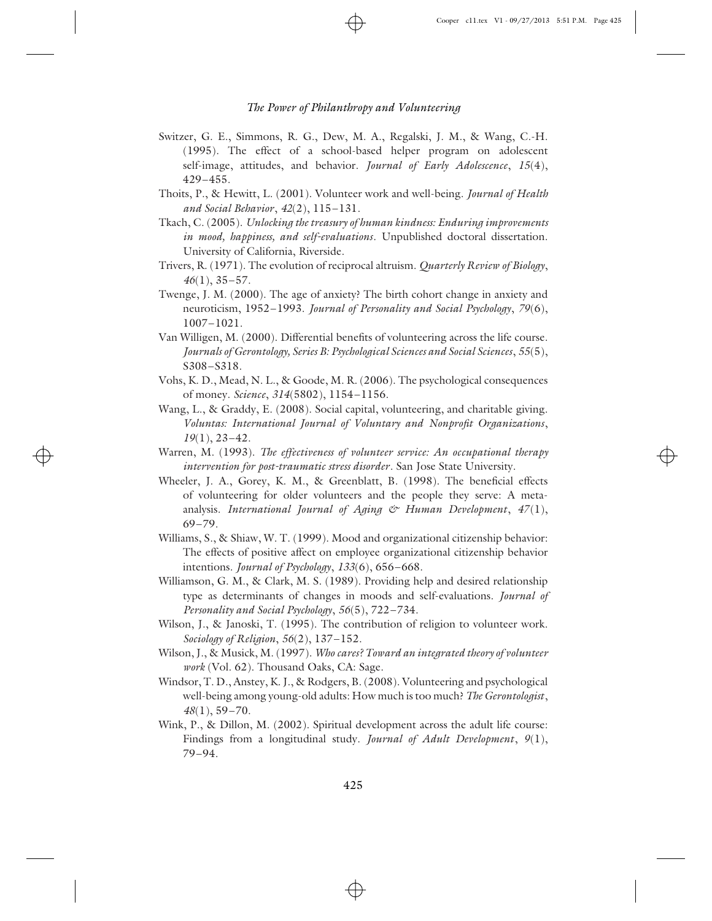- Switzer, G. E., Simmons, R. G., Dew, M. A., Regalski, J. M., & Wang, C.-H. (1995). The effect of a school-based helper program on adolescent self-image, attitudes, and behavior. *Journal of Early Adolescence*, *15*(4), 429–455.
- Thoits, P., & Hewitt, L. (2001). Volunteer work and well-being. *Journal of Health and Social Behavior*, *42*(2), 115–131.
- Tkach, C. (2005). *Unlocking the treasury of human kindness: Enduring improvements in mood, happiness, and self-evaluations*. Unpublished doctoral dissertation. University of California, Riverside.
- Trivers, R. (1971). The evolution of reciprocal altruism. *Quarterly Review of Biology*, *46*(1), 35–57.
- Twenge, J. M. (2000). The age of anxiety? The birth cohort change in anxiety and neuroticism, 1952–1993. *Journal of Personality and Social Psychology*, *79*(6), 1007–1021.
- Van Willigen, M. (2000). Differential benefits of volunteering across the life course. *Journals of Gerontology, Series B: Psychological Sciences and Social Sciences*, *55*(5), S308–S318.
- Vohs, K. D., Mead, N. L., & Goode, M. R. (2006). The psychological consequences of money. *Science*, *314*(5802), 1154–1156.
- Wang, L., & Graddy, E. (2008). Social capital, volunteering, and charitable giving. *Voluntas: International Journal of Voluntary and Nonprofit Organizations*, *19*(1), 23–42.
- Warren, M. (1993). *The effectiveness of volunteer service: An occupational therapy intervention for post-traumatic stress disorder*. San Jose State University.
- Wheeler, J. A., Gorey, K. M., & Greenblatt, B. (1998). The beneficial effects of volunteering for older volunteers and the people they serve: A metaanalysis. *International Journal of Aging & Human Development*,  $47(1)$ , 69–79.
- Williams, S., & Shiaw, W. T. (1999). Mood and organizational citizenship behavior: The effects of positive affect on employee organizational citizenship behavior intentions. *Journal of Psychology*, *133*(6), 656–668.
- Williamson, G. M., & Clark, M. S. (1989). Providing help and desired relationship type as determinants of changes in moods and self-evaluations. *Journal of Personality and Social Psychology*, *56*(5), 722–734.
- Wilson, J., & Janoski, T. (1995). The contribution of religion to volunteer work. *Sociology of Religion*, *56*(2), 137–152.
- Wilson, J., & Musick, M. (1997). *Who cares? Toward an integrated theory of volunteer work* (Vol. 62). Thousand Oaks, CA: Sage.
- Windsor, T. D., Anstey, K. J., & Rodgers, B. (2008). Volunteering and psychological well-being among young-old adults: How much is too much? *The Gerontologist*, *48*(1), 59–70.
- Wink, P., & Dillon, M. (2002). Spiritual development across the adult life course: Findings from a longitudinal study. *Journal of Adult Development*, *9*(1), 79–94.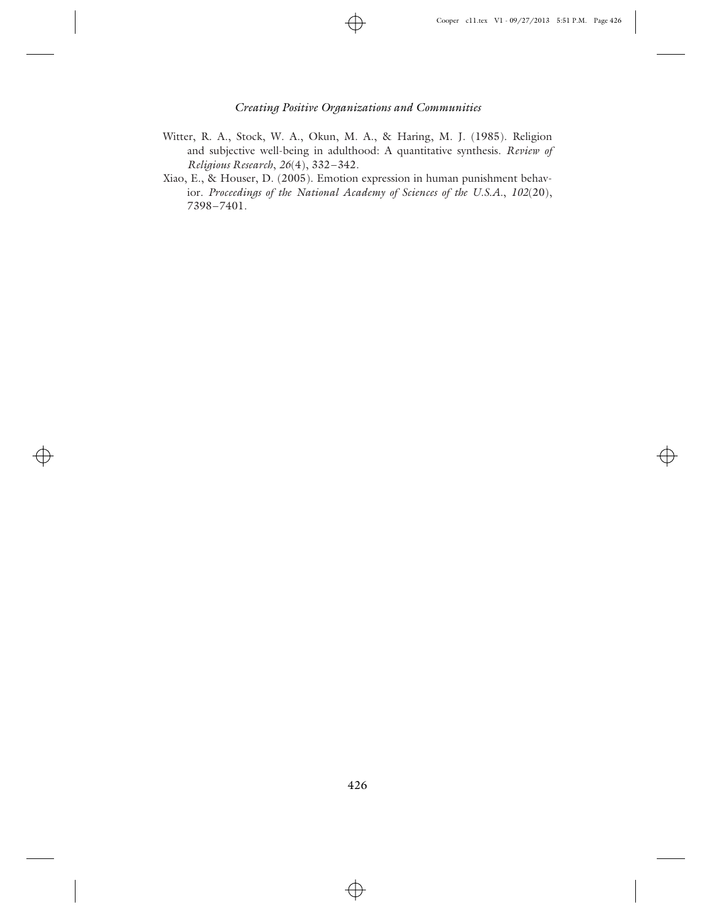$\oplus$ 

# *Creating Positive Organizations and Communities*

- Witter, R. A., Stock, W. A., Okun, M. A., & Haring, M. J. (1985). Religion and subjective well-being in adulthood: A quantitative synthesis. *Review of Religious Research*, *26*(4), 332–342.
- Xiao, E., & Houser, D. (2005). Emotion expression in human punishment behavior. *Proceedings of the National Academy of Sciences of the U.S.A.*, *102*(20), 7398–7401.

 $\oplus$ 

 $\oplus$